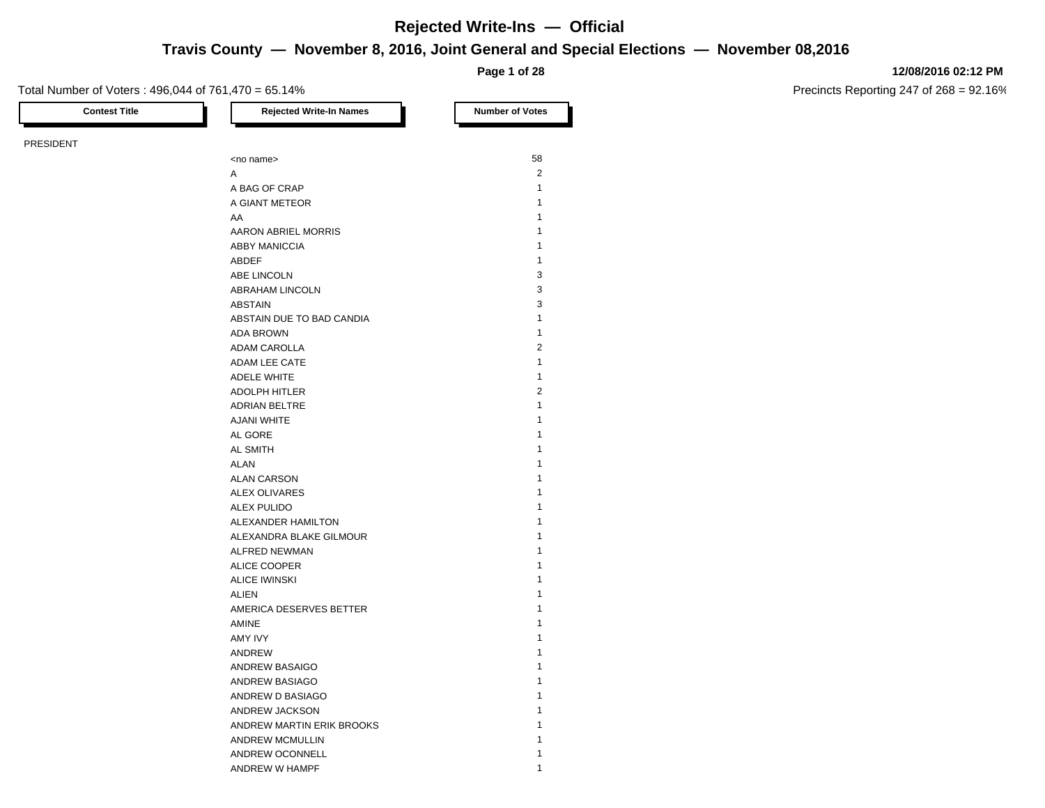## **Travis County — November 8, 2016, Joint General and Special Elections — November 08,2016 Rejected Write-Ins — Official**

**Page 1 of 28**

### Total Number of Voters : 496,044 of 761,470 = 65.14%

**12/08/2016 02:12 PM**

Precincts Reporting 247 of 268 = 92.16%

**Contest Title Rejected Write-In Names Number of Votes** PRESIDENT

| <no name=""></no>          | 58             |
|----------------------------|----------------|
| A                          | 2              |
| A BAG OF CRAP              | $\mathbf{1}$   |
| A GIANT METEOR             | $\mathbf{1}$   |
| AA                         | $\mathbf{1}$   |
| <b>AARON ABRIEL MORRIS</b> | 1              |
| <b>ABBY MANICCIA</b>       | $\mathbf{1}$   |
| <b>ABDEF</b>               | $\mathbf{1}$   |
| ABE LINCOLN                | 3              |
| ABRAHAM LINCOLN            | 3              |
| ABSTAIN                    | 3              |
| ABSTAIN DUE TO BAD CANDIA  | $\mathbf{1}$   |
| <b>ADA BROWN</b>           | $\mathbf{1}$   |
| <b>ADAM CAROLLA</b>        | $\overline{2}$ |
| ADAM LEE CATE              | $\mathbf{1}$   |
| <b>ADELE WHITE</b>         | $\mathbf{1}$   |
| <b>ADOLPH HITLER</b>       | $\overline{2}$ |
| ADRIAN BELTRE              | $\mathbf{1}$   |
| <b>AJANI WHITE</b>         | 1              |
| AL GORE                    | 1              |
| <b>AL SMITH</b>            | 1              |
| <b>ALAN</b>                | 1              |
| <b>ALAN CARSON</b>         | 1              |
| <b>ALEX OLIVARES</b>       | 1              |
| <b>ALEX PULIDO</b>         | 1              |
| ALEXANDER HAMILTON         | 1              |
| ALEXANDRA BLAKE GILMOUR    | 1              |
| <b>ALFRED NEWMAN</b>       | 1              |
| ALICE COOPER               | 1              |
| <b>ALICE IWINSKI</b>       | 1              |
| <b>ALIEN</b>               | $\mathbf{1}$   |
| AMERICA DESERVES BETTER    | 1              |
| <b>AMINE</b>               | 1              |
| AMY IVY                    | 1              |
| ANDREW                     | 1              |
| <b>ANDREW BASAIGO</b>      | 1              |
| ANDREW BASIAGO             | 1              |
| ANDREW D BASIAGO           | 1              |
| ANDREW JACKSON             | 1              |
| ANDREW MARTIN ERIK BROOKS  | 1              |
| <b>ANDREW MCMULLIN</b>     | 1              |
| ANDREW OCONNELL            | 1              |
| ANDREW W HAMPF             | 1              |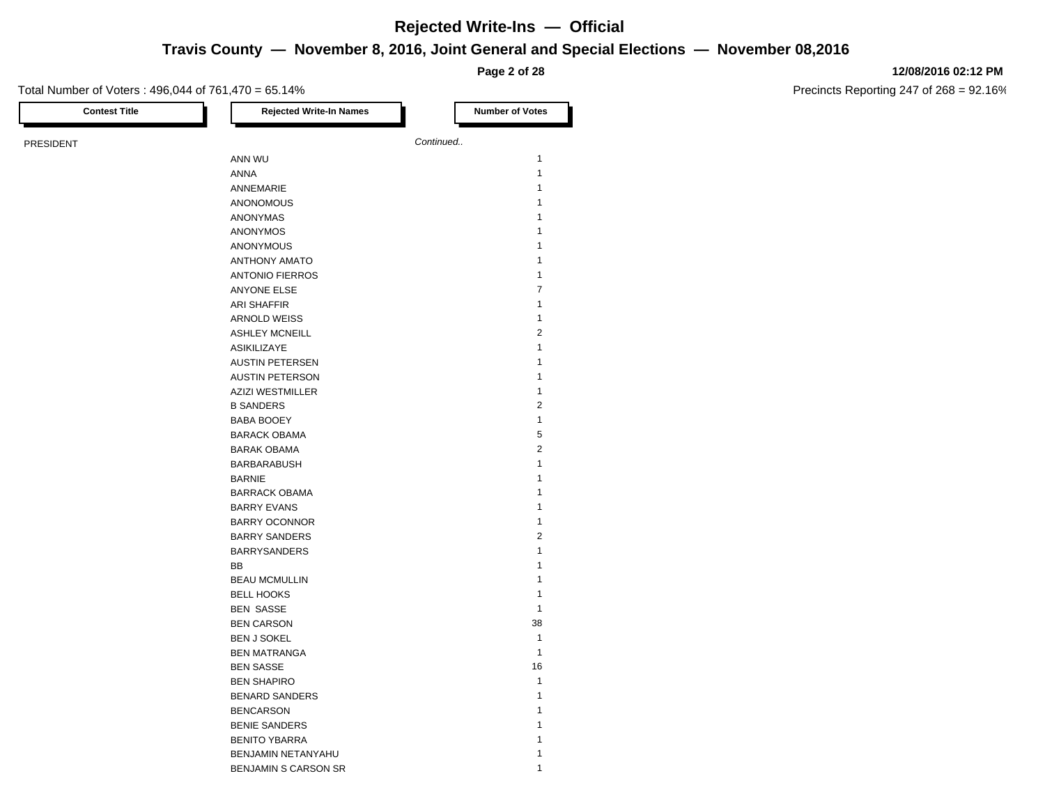## **Travis County — November 8, 2016, Joint General and Special Elections — November 08,2016**

**Page 2 of 28**

### Total Number of Voters : 496,044 of 761,470 = 65.14%

**12/08/2016 02:12 PM**

| <b>Contest Title</b> | <b>Rejected Write-In Names</b> | <b>Number of Votes</b> |
|----------------------|--------------------------------|------------------------|
| PRESIDENT            |                                | Continued              |
|                      | ANN WU                         | $\mathbf{1}$           |
|                      | ANNA                           | $\mathbf{1}$           |
|                      | ANNEMARIE                      | $\mathbf{1}$           |
|                      | ANONOMOUS                      | $\mathbf{1}$           |
|                      | ANONYMAS                       | $\mathbf{1}$           |
|                      | ANONYMOS                       | $\mathbf{1}$           |
|                      | ANONYMOUS                      | $\mathbf{1}$           |
|                      | <b>ANTHONY AMATO</b>           | $\mathbf{1}$           |
|                      | <b>ANTONIO FIERROS</b>         | $\mathbf{1}$           |
|                      | ANYONE ELSE                    | 7                      |
|                      | ARI SHAFFIR                    | $\mathbf{1}$           |
|                      | <b>ARNOLD WEISS</b>            | $\mathbf{1}$           |
|                      | <b>ASHLEY MCNEILL</b>          | $\overline{c}$         |
|                      | ASIKILIZAYE                    | $\mathbf{1}$           |
|                      | <b>AUSTIN PETERSEN</b>         | $\mathbf{1}$           |
|                      | <b>AUSTIN PETERSON</b>         | $\mathbf{1}$           |
|                      | <b>AZIZI WESTMILLER</b>        | $\mathbf{1}$           |
|                      | <b>B SANDERS</b>               | $\overline{c}$         |
|                      | <b>BABA BOOEY</b>              | $\mathbf{1}$           |
|                      | <b>BARACK OBAMA</b>            | 5                      |
|                      | <b>BARAK OBAMA</b>             | $\overline{2}$         |
|                      | <b>BARBARABUSH</b>             | $\mathbf{1}$           |
|                      | <b>BARNIE</b>                  | $\mathbf{1}$           |
|                      | <b>BARRACK OBAMA</b>           | $\mathbf{1}$           |
|                      | <b>BARRY EVANS</b>             | $\mathbf{1}$           |
|                      | <b>BARRY OCONNOR</b>           | $\mathbf{1}$           |
|                      | <b>BARRY SANDERS</b>           | $\overline{c}$         |
|                      | <b>BARRYSANDERS</b>            | $\mathbf{1}$           |
|                      | BB                             | $\mathbf{1}$           |
|                      | <b>BEAU MCMULLIN</b>           | $\mathbf{1}$           |
|                      | <b>BELL HOOKS</b>              | $\mathbf{1}$           |
|                      | <b>BEN SASSE</b>               | $\mathbf{1}$           |
|                      | <b>BEN CARSON</b>              | 38                     |
|                      | <b>BEN J SOKEL</b>             | $\mathbf{1}$           |
|                      | <b>BEN MATRANGA</b>            | $\mathbf{1}$           |
|                      | <b>BEN SASSE</b>               | 16                     |
|                      | <b>BEN SHAPIRO</b>             | $\mathbf{1}$           |
|                      | <b>BENARD SANDERS</b>          | $\mathbf{1}$           |
|                      | <b>BENCARSON</b>               | $\mathbf{1}$           |
|                      | <b>BENIE SANDERS</b>           | $\mathbf{1}$           |
|                      | <b>BENITO YBARRA</b>           | $\mathbf{1}$           |
|                      | BENJAMIN NETANYAHU             | $\mathbf{1}$           |
|                      | <b>BENJAMIN S CARSON SR</b>    | $\mathbf{1}$           |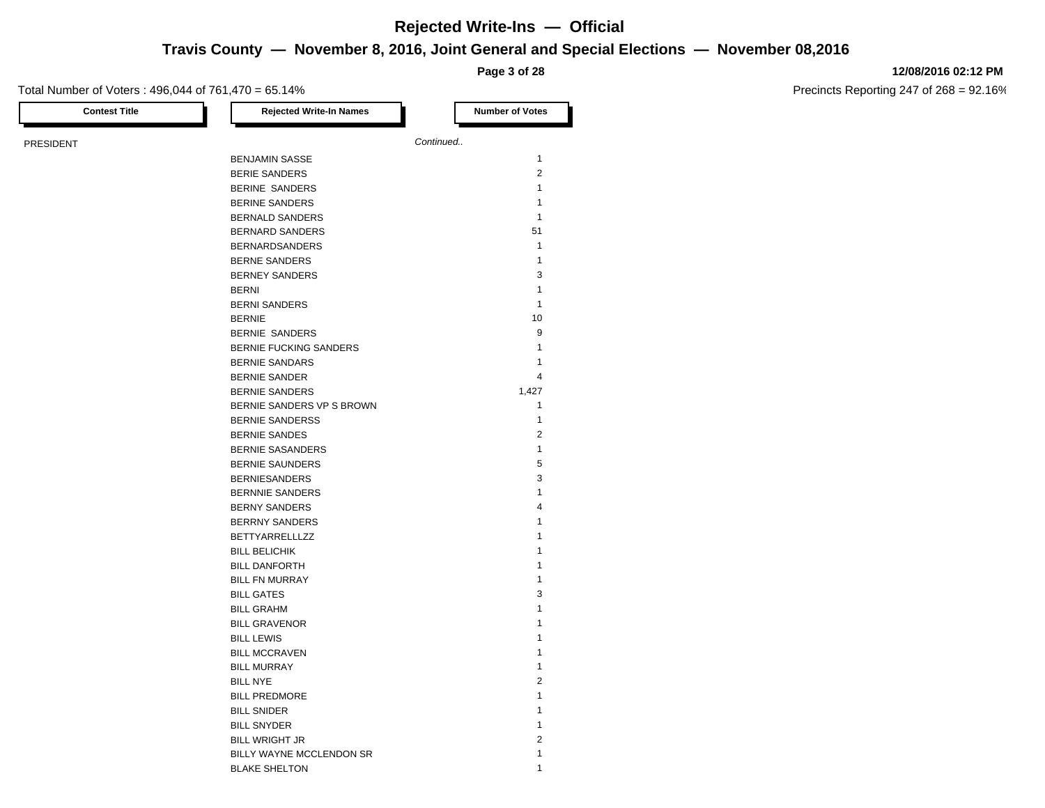## **Travis County — November 8, 2016, Joint General and Special Elections — November 08,2016**

**Page 3 of 28**

### Total Number of Voters : 496,044 of 761,470 = 65.14%

**12/08/2016 02:12 PM**

| <b>Contest Title</b> | <b>Rejected Write-In Names</b> | <b>Number of Votes</b> |
|----------------------|--------------------------------|------------------------|
| PRESIDENT            |                                | Continued              |
|                      | <b>BENJAMIN SASSE</b>          | $\mathbf{1}$           |
|                      | <b>BERIE SANDERS</b>           | $\overline{2}$         |
|                      | BERINE SANDERS                 | $\mathbf{1}$           |
|                      | <b>BERINE SANDERS</b>          | $\mathbf{1}$           |
|                      | <b>BERNALD SANDERS</b>         | $\mathbf{1}$           |
|                      | <b>BERNARD SANDERS</b>         | 51                     |
|                      | <b>BERNARDSANDERS</b>          | $\mathbf{1}$           |
|                      | <b>BERNE SANDERS</b>           | $\mathbf{1}$           |
|                      | <b>BERNEY SANDERS</b>          | 3                      |
|                      | <b>BERNI</b>                   | $\mathbf{1}$           |
|                      | <b>BERNI SANDERS</b>           | $\mathbf{1}$           |
|                      | <b>BERNIE</b>                  | 10                     |
|                      | <b>BERNIE SANDERS</b>          | 9                      |
|                      | <b>BERNIE FUCKING SANDERS</b>  | $\mathbf{1}$           |
|                      | <b>BERNIE SANDARS</b>          | $\mathbf{1}$           |
|                      | <b>BERNIE SANDER</b>           | 4                      |
|                      | <b>BERNIE SANDERS</b>          | 1,427                  |
|                      | BERNIE SANDERS VP S BROWN      | $\mathbf{1}$           |
|                      | <b>BERNIE SANDERSS</b>         | $\mathbf{1}$           |
|                      | <b>BERNIE SANDES</b>           | $\overline{2}$         |
|                      | <b>BERNIE SASANDERS</b>        | $\mathbf{1}$           |
|                      | <b>BERNIE SAUNDERS</b>         | 5                      |
|                      | <b>BERNIESANDERS</b>           | 3                      |
|                      | <b>BERNNIE SANDERS</b>         | $\mathbf{1}$           |
|                      | <b>BERNY SANDERS</b>           | $\overline{4}$         |
|                      | <b>BERRNY SANDERS</b>          | $\mathbf{1}$           |
|                      | <b>BETTYARRELLLZZ</b>          | $\mathbf{1}$           |
|                      | <b>BILL BELICHIK</b>           | $\mathbf{1}$           |
|                      | <b>BILL DANFORTH</b>           | $\mathbf{1}$           |
|                      | <b>BILL FN MURRAY</b>          | $\mathbf{1}$           |
|                      | <b>BILL GATES</b>              | 3                      |
|                      | <b>BILL GRAHM</b>              | $\mathbf{1}$           |
|                      | <b>BILL GRAVENOR</b>           | 1                      |
|                      | <b>BILL LEWIS</b>              | 1                      |
|                      | <b>BILL MCCRAVEN</b>           | $\mathbf{1}$           |
|                      | <b>BILL MURRAY</b>             | $\mathbf{1}$           |
|                      | <b>BILL NYE</b>                | $\overline{2}$         |
|                      | <b>BILL PREDMORE</b>           | $\mathbf{1}$           |
|                      | <b>BILL SNIDER</b>             | $\mathbf{1}$           |
|                      | <b>BILL SNYDER</b>             | $\mathbf{1}$           |
|                      | <b>BILL WRIGHT JR</b>          | $\overline{2}$         |
|                      | BILLY WAYNE MCCLENDON SR       | $\mathbf{1}$           |
|                      | <b>BLAKE SHELTON</b>           | $\mathbf{1}$           |
|                      |                                |                        |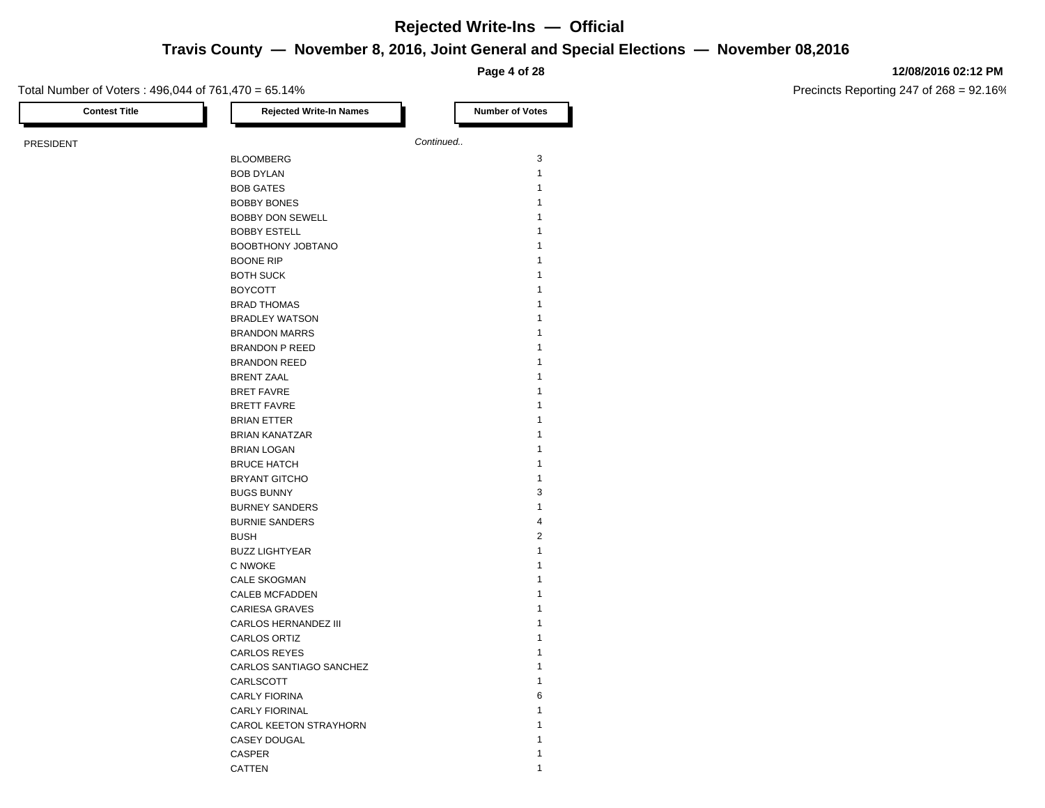## **Travis County — November 8, 2016, Joint General and Special Elections — November 08,2016**

**Page 4 of 28**

### Total Number of Voters : 496,044 of 761,470 = 65.14%

**12/08/2016 02:12 PM**

| <b>Contest Title</b> | <b>Rejected Write-In Names</b> | <b>Number of Votes</b> |
|----------------------|--------------------------------|------------------------|
| PRESIDENT            |                                | Continued              |
|                      | <b>BLOOMBERG</b>               | 3                      |
|                      | <b>BOB DYLAN</b>               | $\mathbf{1}$           |
|                      | <b>BOB GATES</b>               | $\mathbf{1}$           |
|                      | <b>BOBBY BONES</b>             | $\mathbf{1}$           |
|                      | <b>BOBBY DON SEWELL</b>        | 1                      |
|                      | <b>BOBBY ESTELL</b>            | $\mathbf{1}$           |
|                      | BOOBTHONY JOBTANO              | 1                      |
|                      | <b>BOONE RIP</b>               | $\mathbf{1}$           |
|                      | <b>BOTH SUCK</b>               | $\mathbf{1}$           |
|                      | <b>BOYCOTT</b>                 | $\mathbf{1}$           |
|                      | <b>BRAD THOMAS</b>             | $\mathbf{1}$           |
|                      | <b>BRADLEY WATSON</b>          | $\mathbf{1}$           |
|                      | <b>BRANDON MARRS</b>           | $\mathbf{1}$           |
|                      | <b>BRANDON P REED</b>          | $\mathbf{1}$           |
|                      | <b>BRANDON REED</b>            | 1                      |
|                      | <b>BRENT ZAAL</b>              | $\mathbf{1}$           |
|                      | <b>BRET FAVRE</b>              | $\mathbf{1}$           |
|                      | <b>BRETT FAVRE</b>             | $\mathbf{1}$           |
|                      | <b>BRIAN ETTER</b>             | 1                      |
|                      | <b>BRIAN KANATZAR</b>          | $\mathbf{1}$           |
|                      | <b>BRIAN LOGAN</b>             | $\mathbf{1}$           |
|                      | <b>BRUCE HATCH</b>             | $\mathbf{1}$           |
|                      | <b>BRYANT GITCHO</b>           | $\mathbf{1}$           |
|                      | <b>BUGS BUNNY</b>              | 3                      |
|                      | <b>BURNEY SANDERS</b>          | $\mathbf{1}$           |
|                      | <b>BURNIE SANDERS</b>          | 4                      |
|                      | <b>BUSH</b>                    | $\overline{2}$         |
|                      | <b>BUZZ LIGHTYEAR</b>          | $\mathbf{1}$           |
|                      | C NWOKE                        | 1                      |
|                      | <b>CALE SKOGMAN</b>            | $\mathbf{1}$           |
|                      | <b>CALEB MCFADDEN</b>          | 1                      |
|                      | <b>CARIESA GRAVES</b>          | 1                      |
|                      | CARLOS HERNANDEZ III           | $\mathbf{1}$           |
|                      | CARLOS ORTIZ                   | 1                      |
|                      | <b>CARLOS REYES</b>            | $\mathbf{1}$           |
|                      | CARLOS SANTIAGO SANCHEZ        | $\mathbf{1}$           |
|                      | CARLSCOTT                      | $\mathbf{1}$           |
|                      | <b>CARLY FIORINA</b>           | 6                      |
|                      | <b>CARLY FIORINAL</b>          | $\mathbf{1}$           |
|                      | CAROL KEETON STRAYHORN         | 1                      |
|                      | <b>CASEY DOUGAL</b>            | $\mathbf{1}$           |
|                      | CASPER                         | 1                      |
|                      | CATTEN                         | $\mathbf{1}$           |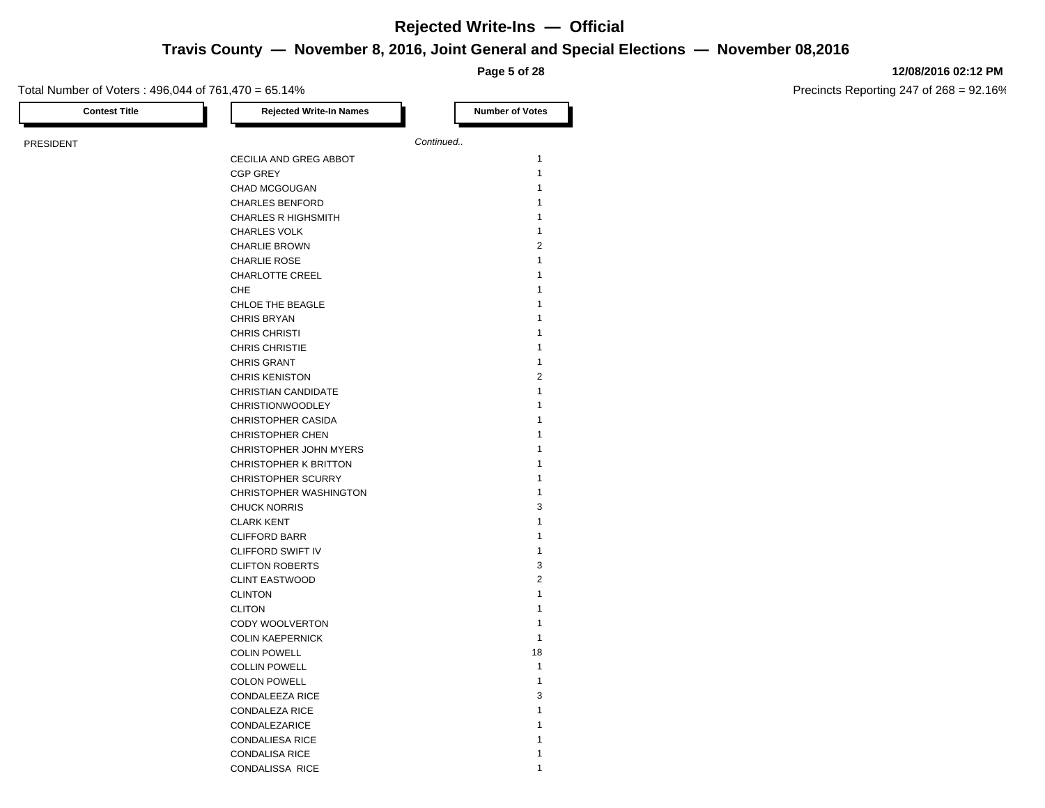**Travis County — November 8, 2016, Joint General and Special Elections — November 08,2016**

**Page 5 of 28**

### Total Number of Voters : 496,044 of 761,470 = 65.14%

**12/08/2016 02:12 PM**

| <b>Contest Title</b> | <b>Rejected Write-In Names</b> |           | <b>Number of Votes</b> |
|----------------------|--------------------------------|-----------|------------------------|
| PRESIDENT            |                                | Continued |                        |
|                      | CECILIA AND GREG ABBOT         |           | $\mathbf{1}$           |
|                      | <b>CGP GREY</b>                |           | $\mathbf{1}$           |
|                      | CHAD MCGOUGAN                  |           | $\mathbf{1}$           |
|                      | <b>CHARLES BENFORD</b>         |           | 1                      |
|                      | <b>CHARLES R HIGHSMITH</b>     |           | $\mathbf{1}$           |
|                      | <b>CHARLES VOLK</b>            |           | $\mathbf{1}$           |
|                      | <b>CHARLIE BROWN</b>           |           | $\overline{2}$         |
|                      | <b>CHARLIE ROSE</b>            |           | $\mathbf{1}$           |
|                      | CHARLOTTE CREEL                |           | $\mathbf{1}$           |
|                      | CHE                            |           | 1                      |
|                      | CHLOE THE BEAGLE               |           | $\mathbf{1}$           |
|                      | <b>CHRIS BRYAN</b>             |           | $\mathbf{1}$           |
|                      | <b>CHRIS CHRISTI</b>           |           | 1                      |
|                      | <b>CHRIS CHRISTIE</b>          |           | $\mathbf{1}$           |
|                      | <b>CHRIS GRANT</b>             |           | $\mathbf{1}$           |
|                      | <b>CHRIS KENISTON</b>          |           | $\overline{2}$         |
|                      | CHRISTIAN CANDIDATE            |           | $\mathbf{1}$           |
|                      | <b>CHRISTIONWOODLEY</b>        |           | 1                      |
|                      | CHRISTOPHER CASIDA             |           | 1                      |
|                      | <b>CHRISTOPHER CHEN</b>        |           | $\mathbf{1}$           |
|                      | CHRISTOPHER JOHN MYERS         |           | $\mathbf{1}$           |
|                      | CHRISTOPHER K BRITTON          |           | 1                      |
|                      | <b>CHRISTOPHER SCURRY</b>      |           | $\mathbf{1}$           |
|                      | CHRISTOPHER WASHINGTON         |           | $\mathbf{1}$           |
|                      | <b>CHUCK NORRIS</b>            |           | 3                      |
|                      | <b>CLARK KENT</b>              |           | $\mathbf{1}$           |
|                      | <b>CLIFFORD BARR</b>           |           | $\mathbf{1}$           |
|                      | CLIFFORD SWIFT IV              |           | $\mathbf{1}$           |
|                      | <b>CLIFTON ROBERTS</b>         |           | 3                      |
|                      | <b>CLINT EASTWOOD</b>          |           | $\overline{2}$         |
|                      | <b>CLINTON</b>                 |           | $\mathbf{1}$           |
|                      | <b>CLITON</b>                  |           | 1                      |
|                      | CODY WOOLVERTON                |           | $\mathbf{1}$           |
|                      | <b>COLIN KAEPERNICK</b>        |           | $\mathbf{1}$           |
|                      | <b>COLIN POWELL</b>            |           | 18                     |
|                      | <b>COLLIN POWELL</b>           |           | $\mathbf{1}$           |
|                      | <b>COLON POWELL</b>            |           | $\mathbf{1}$           |
|                      | CONDALEEZA RICE                |           | 3                      |
|                      | <b>CONDALEZA RICE</b>          |           | $\mathbf{1}$           |
|                      | CONDALEZARICE                  |           | $\mathbf{1}$           |
|                      | <b>CONDALIESA RICE</b>         |           | 1                      |
|                      | <b>CONDALISA RICE</b>          |           | $\mathbf{1}$           |
|                      | CONDALISSA RICE                |           | 1                      |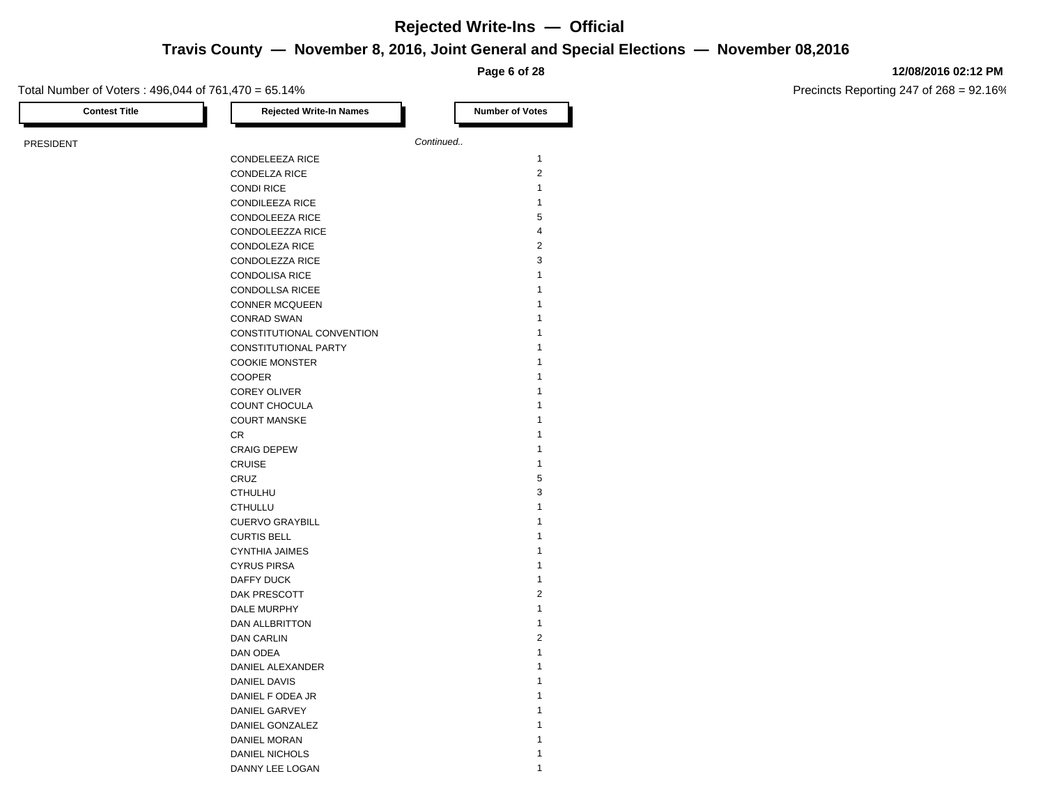## **Travis County — November 8, 2016, Joint General and Special Elections — November 08,2016**

**Page 6 of 28**

### Total Number of Voters : 496,044 of 761,470 = 65.14%

**12/08/2016 02:12 PM**

| <b>Contest Title</b> | <b>Rejected Write-In Names</b> | <b>Number of Votes</b> |                |
|----------------------|--------------------------------|------------------------|----------------|
| PRESIDENT            |                                | Continued              |                |
|                      | CONDELEEZA RICE                |                        | $\mathbf{1}$   |
|                      | <b>CONDELZA RICE</b>           |                        | $\overline{2}$ |
|                      | <b>CONDI RICE</b>              |                        | $\mathbf{1}$   |
|                      | <b>CONDILEEZA RICE</b>         |                        | $\mathbf{1}$   |
|                      | CONDOLEEZA RICE                |                        | 5              |
|                      | CONDOLEEZZA RICE               |                        | 4              |
|                      | <b>CONDOLEZA RICE</b>          |                        | $\overline{2}$ |
|                      | CONDOLEZZA RICE                |                        | 3              |
|                      | <b>CONDOLISA RICE</b>          |                        | $\mathbf{1}$   |
|                      | <b>CONDOLLSA RICEE</b>         |                        | 1              |
|                      | <b>CONNER MCQUEEN</b>          |                        | 1              |
|                      | <b>CONRAD SWAN</b>             |                        | $\mathbf{1}$   |
|                      | CONSTITUTIONAL CONVENTION      |                        | 1              |
|                      | CONSTITUTIONAL PARTY           |                        | $\mathbf{1}$   |
|                      | <b>COOKIE MONSTER</b>          |                        | 1              |
|                      | <b>COOPER</b>                  |                        | $\mathbf{1}$   |
|                      | <b>COREY OLIVER</b>            |                        | 1              |
|                      | COUNT CHOCULA                  |                        | $\mathbf{1}$   |
|                      | <b>COURT MANSKE</b>            |                        | 1              |
|                      | CR.                            |                        | $\mathbf{1}$   |
|                      | <b>CRAIG DEPEW</b>             |                        | $\mathbf{1}$   |
|                      | <b>CRUISE</b>                  |                        | $\mathbf{1}$   |
|                      | CRUZ                           |                        | 5              |
|                      | <b>CTHULHU</b>                 |                        | 3              |
|                      | <b>CTHULLU</b>                 |                        | $\mathbf{1}$   |
|                      | <b>CUERVO GRAYBILL</b>         |                        | $\mathbf{1}$   |
|                      | <b>CURTIS BELL</b>             |                        | $\mathbf{1}$   |
|                      | <b>CYNTHIA JAIMES</b>          |                        | $\mathbf{1}$   |
|                      | <b>CYRUS PIRSA</b>             |                        | $\mathbf{1}$   |
|                      | DAFFY DUCK                     |                        | $\mathbf{1}$   |
|                      | DAK PRESCOTT                   |                        | $\overline{2}$ |
|                      | DALE MURPHY                    |                        | $\mathbf{1}$   |
|                      | DAN ALLBRITTON                 |                        | $\mathbf{1}$   |
|                      | DAN CARLIN                     |                        | 2              |
|                      | DAN ODEA                       |                        | $\mathbf{1}$   |
|                      | DANIEL ALEXANDER               |                        | $\mathbf{1}$   |
|                      | DANIEL DAVIS                   |                        | 1              |
|                      | DANIEL F ODEA JR               |                        | $\mathbf{1}$   |
|                      | DANIEL GARVEY                  |                        | 1              |
|                      | DANIEL GONZALEZ                |                        | 1              |
|                      | DANIEL MORAN                   |                        | 1              |
|                      | DANIEL NICHOLS                 |                        | 1              |
|                      | DANNY LEE LOGAN                |                        | $\mathbf{1}$   |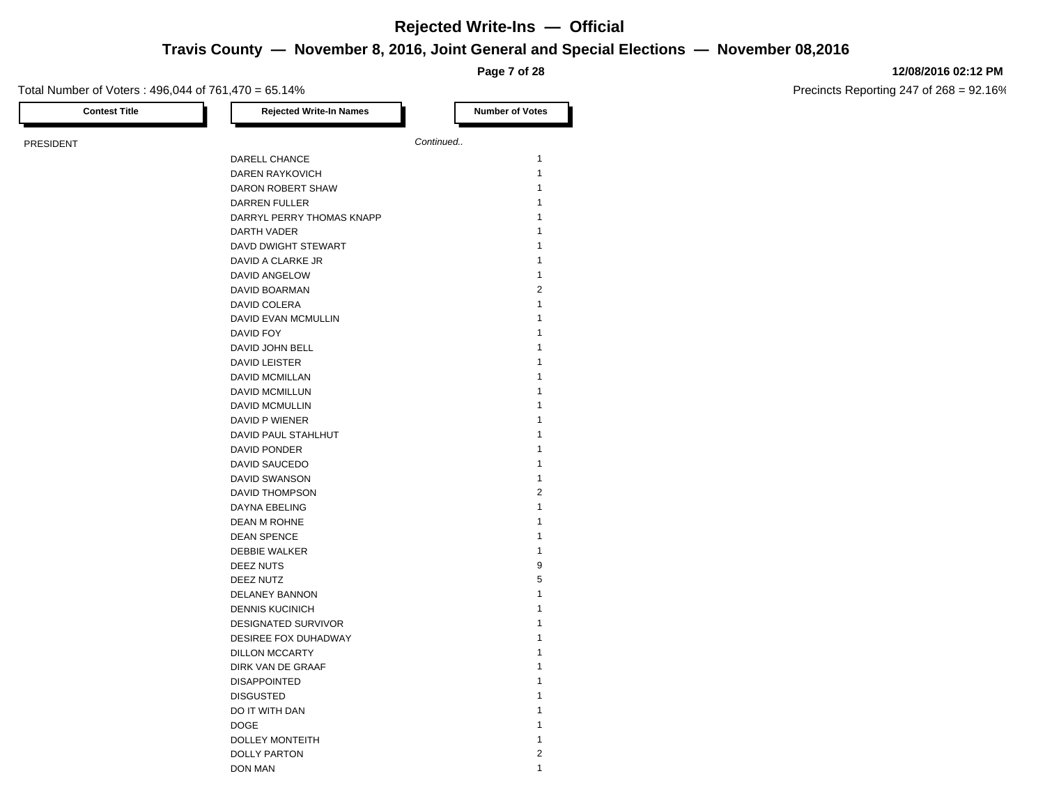### **Travis County — November 8, 2016, Joint General and Special Elections — November 08,2016**

**Page 7 of 28**

### **12/08/2016 02:12 PM**

| <b>Contest Title</b> | <b>Rejected Write-In Names</b> | <b>Number of Votes</b> |
|----------------------|--------------------------------|------------------------|
| <b>PRESIDENT</b>     |                                | Continued              |
|                      | DARELL CHANCE                  | 1                      |
|                      | <b>DAREN RAYKOVICH</b>         | $\mathbf{1}$           |
|                      | DARON ROBERT SHAW              | 1                      |
|                      | <b>DARREN FULLER</b>           | 1                      |
|                      | DARRYL PERRY THOMAS KNAPP      | 1                      |
|                      | DARTH VADER                    | 1                      |
|                      | DAVD DWIGHT STEWART            | 1                      |
|                      | DAVID A CLARKE JR              | 1                      |
|                      | DAVID ANGELOW                  | 1                      |
|                      | DAVID BOARMAN                  | $\overline{2}$         |
|                      | DAVID COLERA                   | 1                      |
|                      | DAVID EVAN MCMULLIN            | 1                      |
|                      | DAVID FOY                      | 1                      |
|                      | DAVID JOHN BELL                | 1                      |
|                      | <b>DAVID LEISTER</b>           | 1                      |
|                      | DAVID MCMILLAN                 | 1                      |
|                      | DAVID MCMILLUN                 | 1                      |
|                      | <b>DAVID MCMULLIN</b>          | 1                      |
|                      | DAVID P WIENER                 | 1                      |
|                      | DAVID PAUL STAHLHUT            | 1                      |
|                      | <b>DAVID PONDER</b>            | 1                      |
|                      | DAVID SAUCEDO                  | 1                      |
|                      | <b>DAVID SWANSON</b>           | 1                      |
|                      | DAVID THOMPSON                 | $\overline{2}$         |
|                      | DAYNA EBELING                  | 1                      |
|                      | DEAN M ROHNE                   | 1                      |
|                      | <b>DEAN SPENCE</b>             | 1                      |
|                      | <b>DEBBIE WALKER</b>           | 1                      |
|                      | DEEZ NUTS                      | 9                      |
|                      | DEEZ NUTZ                      | 5                      |
|                      | DELANEY BANNON                 | 1                      |
|                      | <b>DENNIS KUCINICH</b>         | 1                      |
|                      | <b>DESIGNATED SURVIVOR</b>     | 1                      |
|                      | DESIREE FOX DUHADWAY           | 1                      |
|                      | <b>DILLON MCCARTY</b>          | 1                      |
|                      | DIRK VAN DE GRAAF              | 1                      |
|                      | <b>DISAPPOINTED</b>            | 1                      |
|                      | <b>DISGUSTED</b>               | 1                      |
|                      | DO IT WITH DAN                 | 1                      |
|                      | <b>DOGE</b>                    | 1                      |
|                      | DOLLEY MONTEITH                | $\mathbf{1}$           |
|                      | <b>DOLLY PARTON</b>            | $\overline{2}$         |
|                      | DON MAN                        | 1                      |
|                      |                                |                        |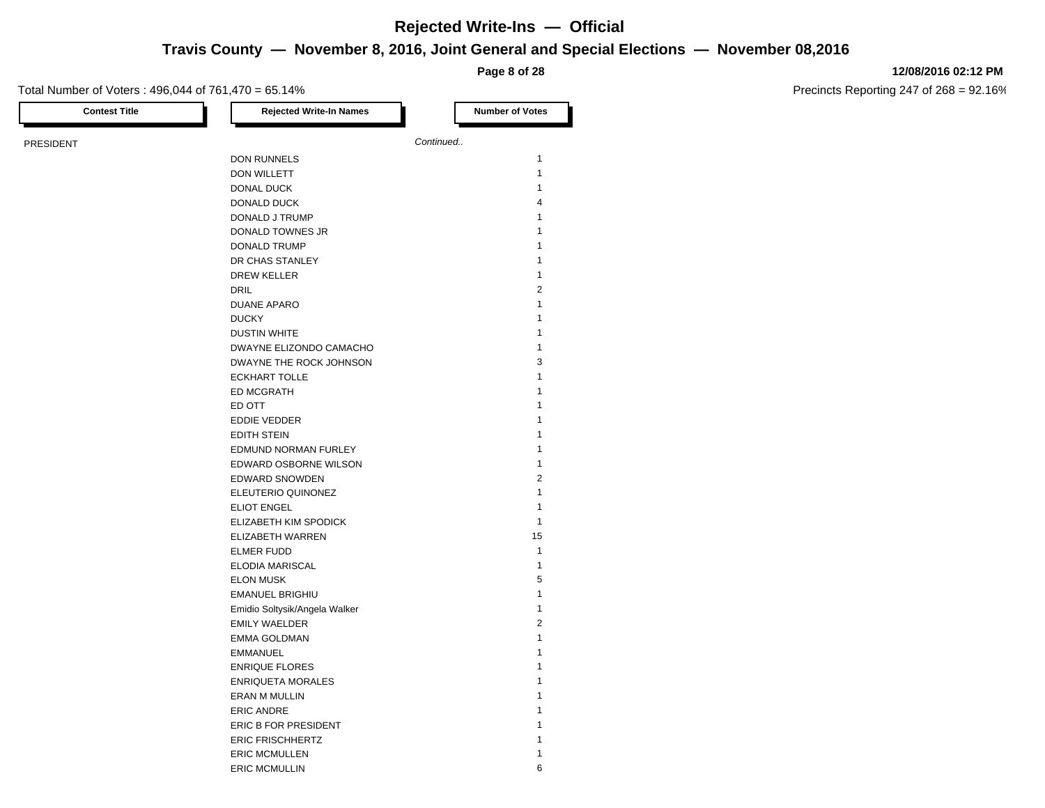## **Travis County — November 8, 2016, Joint General and Special Elections — November 08,2016**

**Page 8 of 28**

### Total Number of Voters : 496,044 of 761,470 = 65.14%

**12/08/2016 02:12 PM**

| <b>Contest Title</b> | <b>Rejected Write-In Names</b> | <b>Number of Votes</b> |
|----------------------|--------------------------------|------------------------|
| PRESIDENT            |                                | Continued              |
|                      | DON RUNNELS                    | $\mathbf{1}$           |
|                      | DON WILLETT                    | $\mathbf{1}$           |
|                      | DONAL DUCK                     | $\mathbf{1}$           |
|                      | DONALD DUCK                    | $\overline{4}$         |
|                      | DONALD J TRUMP                 | $\mathbf{1}$           |
|                      | DONALD TOWNES JR               | $\mathbf{1}$           |
|                      | <b>DONALD TRUMP</b>            | $\mathbf{1}$           |
|                      | DR CHAS STANLEY                | $\mathbf{1}$           |
|                      | <b>DREW KELLER</b>             | $\mathbf{1}$           |
|                      | <b>DRIL</b>                    | $\overline{2}$         |
|                      | <b>DUANE APARO</b>             | $\mathbf{1}$           |
|                      | <b>DUCKY</b>                   | $\mathbf{1}$           |
|                      | <b>DUSTIN WHITE</b>            | $\mathbf{1}$           |
|                      | DWAYNE ELIZONDO CAMACHO        | $\mathbf{1}$           |
|                      | DWAYNE THE ROCK JOHNSON        | 3                      |
|                      | <b>ECKHART TOLLE</b>           | $\mathbf{1}$           |
|                      | <b>ED MCGRATH</b>              | $\mathbf{1}$           |
|                      | ED OTT                         | $\mathbf{1}$           |
|                      | <b>EDDIE VEDDER</b>            | $\mathbf{1}$           |
|                      | <b>EDITH STEIN</b>             | $\mathbf{1}$           |
|                      | EDMUND NORMAN FURLEY           | $\mathbf{1}$           |
|                      | EDWARD OSBORNE WILSON          | $\mathbf{1}$           |
|                      | EDWARD SNOWDEN                 | $\overline{2}$         |
|                      | ELEUTERIO QUINONEZ             | $\mathbf{1}$           |
|                      | <b>ELIOT ENGEL</b>             | $\mathbf{1}$           |
|                      | ELIZABETH KIM SPODICK          | $\mathbf{1}$           |
|                      | ELIZABETH WARREN               | 15                     |
|                      | <b>ELMER FUDD</b>              | $\mathbf{1}$           |
|                      | ELODIA MARISCAL                | $\mathbf{1}$           |
|                      | <b>ELON MUSK</b>               | 5                      |
|                      | EMANUEL BRIGHIU                | $\mathbf{1}$           |
|                      | Emidio Soltysik/Angela Walker  | $\mathbf{1}$           |
|                      | <b>EMILY WAELDER</b>           | $\overline{2}$         |
|                      | <b>EMMA GOLDMAN</b>            | $\mathbf{1}$           |
|                      | <b>EMMANUEL</b>                | $\mathbf{1}$           |
|                      | <b>ENRIQUE FLORES</b>          | $\mathbf{1}$           |
|                      | <b>ENRIQUETA MORALES</b>       | $\mathbf{1}$           |
|                      | <b>ERAN M MULLIN</b>           | $\mathbf{1}$           |
|                      | <b>ERIC ANDRE</b>              | $\mathbf{1}$           |
|                      | ERIC B FOR PRESIDENT           | $\mathbf{1}$           |
|                      | <b>ERIC FRISCHHERTZ</b>        | 1                      |
|                      | <b>ERIC MCMULLEN</b>           | $\mathbf{1}$           |
|                      | <b>ERIC MCMULLIN</b>           | 6                      |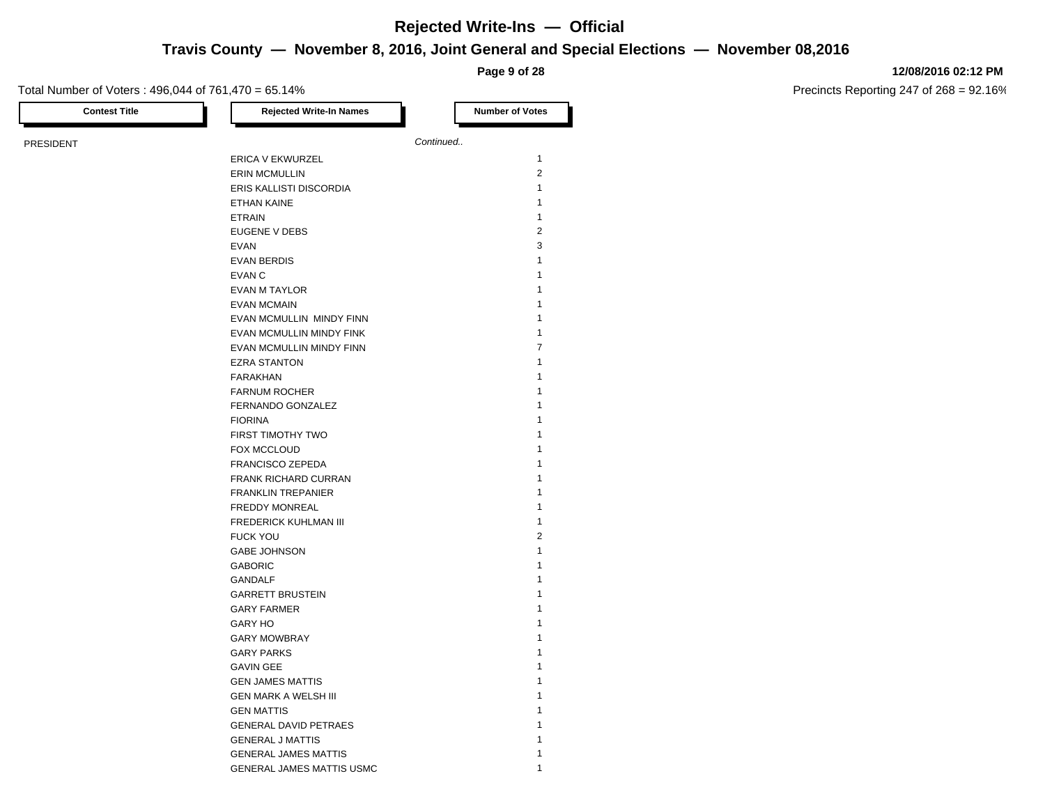**Travis County — November 8, 2016, Joint General and Special Elections — November 08,2016**

**Page 9 of 28**

### **12/08/2016 02:12 PM**

Precincts Reporting 247 of 268 = 92.16%

Total Number of Voters : 496,044 of 761,470 = 65.14%

| <b>Contest Title</b> | <b>Rejected Write-In Names</b> | <b>Number of Votes</b> |
|----------------------|--------------------------------|------------------------|
| PRESIDENT            |                                | Continued              |
|                      | ERICA V EKWURZEL               | $\mathbf{1}$           |
|                      | <b>ERIN MCMULLIN</b>           | $\overline{2}$         |
|                      | ERIS KALLISTI DISCORDIA        | $\mathbf{1}$           |
|                      | ETHAN KAINE                    | $\mathbf{1}$           |
|                      | <b>ETRAIN</b>                  | $\mathbf{1}$           |
|                      | EUGENE V DEBS                  | $\overline{2}$         |
|                      | <b>EVAN</b>                    | 3                      |
|                      | <b>EVAN BERDIS</b>             | $\mathbf{1}$           |
|                      | EVAN C                         | $\mathbf{1}$           |
|                      | <b>EVAN M TAYLOR</b>           | $\mathbf{1}$           |
|                      | <b>EVAN MCMAIN</b>             | $\mathbf{1}$           |
|                      | EVAN MCMULLIN MINDY FINN       | $\mathbf{1}$           |
|                      | EVAN MCMULLIN MINDY FINK       | $\mathbf{1}$           |
|                      | EVAN MCMULLIN MINDY FINN       | $\overline{7}$         |
|                      | <b>EZRA STANTON</b>            | $\mathbf{1}$           |
|                      | FARAKHAN                       | $\mathbf{1}$           |
|                      | <b>FARNUM ROCHER</b>           | 1                      |
|                      | FERNANDO GONZALEZ              | 1                      |
|                      | <b>FIORINA</b>                 | $\mathbf{1}$           |
|                      | FIRST TIMOTHY TWO              | 1                      |
|                      | FOX MCCLOUD                    | $\mathbf{1}$           |
|                      | <b>FRANCISCO ZEPEDA</b>        | 1                      |
|                      | <b>FRANK RICHARD CURRAN</b>    | $\mathbf{1}$           |
|                      | <b>FRANKLIN TREPANIER</b>      | $\mathbf{1}$           |
|                      |                                | $\mathbf{1}$           |
|                      | FREDDY MONREAL                 | $\mathbf{1}$           |
|                      | FREDERICK KUHLMAN III          | $\overline{2}$         |
|                      | <b>FUCK YOU</b>                | $\mathbf{1}$           |
|                      | <b>GABE JOHNSON</b>            |                        |
|                      | <b>GABORIC</b>                 | $\mathbf{1}$           |
|                      | <b>GANDALF</b>                 | $\mathbf{1}$           |
|                      | <b>GARRETT BRUSTEIN</b>        | $\mathbf{1}$           |
|                      | <b>GARY FARMER</b>             | $\mathbf{1}$           |
|                      | <b>GARY HO</b>                 | $\mathbf{1}$           |
|                      | <b>GARY MOWBRAY</b>            | $\mathbf{1}$           |
|                      | <b>GARY PARKS</b>              | $\mathbf{1}$           |
|                      | <b>GAVIN GEE</b>               | $\mathbf{1}$           |
|                      | <b>GEN JAMES MATTIS</b>        | $\mathbf{1}$           |
|                      | <b>GEN MARK A WELSH III</b>    | 1                      |
|                      | <b>GEN MATTIS</b>              | $\mathbf{1}$           |
|                      | <b>GENERAL DAVID PETRAES</b>   | 1                      |
|                      | <b>GENERAL J MATTIS</b>        | $\mathbf{1}$           |
|                      | <b>GENERAL JAMES MATTIS</b>    | 1                      |
|                      | GENERAL JAMES MATTIS USMC      | $\mathbf{1}$           |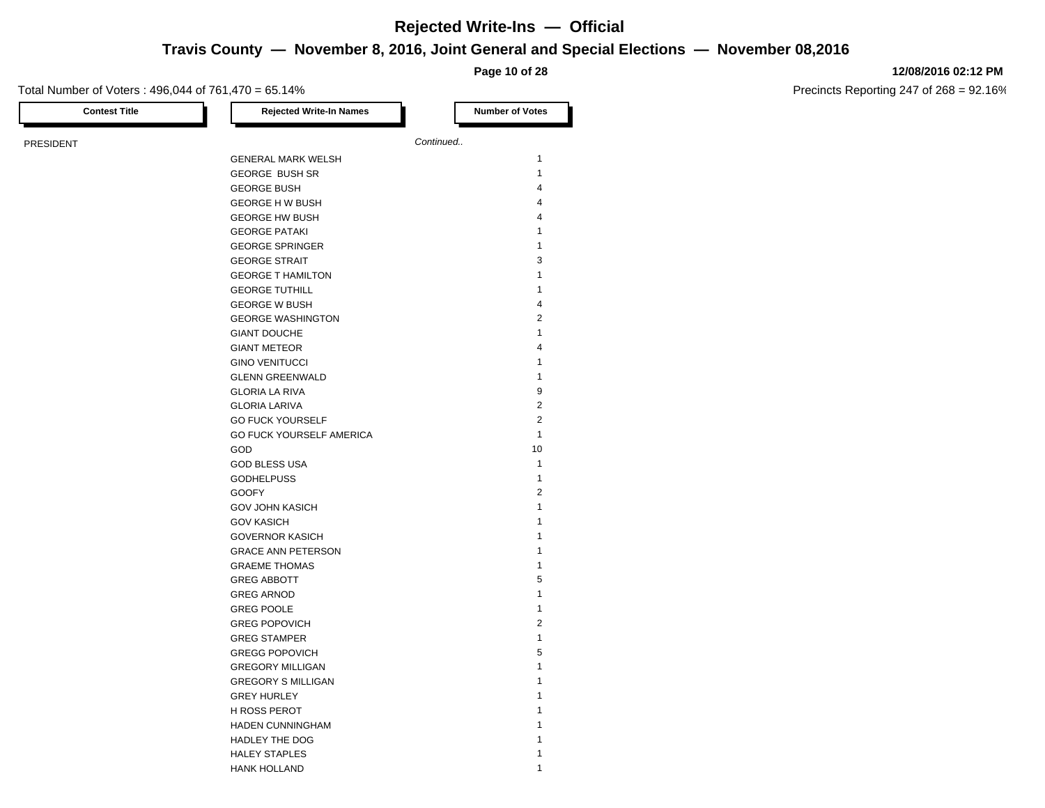**Travis County — November 8, 2016, Joint General and Special Elections — November 08,2016**

**Page 10 of 28**

### **12/08/2016 02:12 PM**

Precincts Reporting 247 of 268 = 92.16%

| <b>Contest Title</b> | <b>Rejected Write-In Names</b> | <b>Number of Votes</b> |
|----------------------|--------------------------------|------------------------|
|                      |                                | Continued              |
| <b>PRESIDENT</b>     | <b>GENERAL MARK WELSH</b>      | 1                      |
|                      | <b>GEORGE BUSH SR</b>          | 1                      |
|                      |                                | 4                      |
|                      | <b>GEORGE BUSH</b>             | 4                      |
|                      | <b>GEORGE H W BUSH</b>         | 4                      |
|                      | <b>GEORGE HW BUSH</b>          | 1                      |
|                      | <b>GEORGE PATAKI</b>           | $\mathbf{1}$           |
|                      | <b>GEORGE SPRINGER</b>         |                        |
|                      | <b>GEORGE STRAIT</b>           | 3                      |
|                      | <b>GEORGE T HAMILTON</b>       | 1                      |
|                      | <b>GEORGE TUTHILL</b>          | 1                      |
|                      | <b>GEORGE W BUSH</b>           | 4                      |
|                      | <b>GEORGE WASHINGTON</b>       | $\overline{2}$         |
|                      | <b>GIANT DOUCHE</b>            | $\mathbf{1}$           |
|                      | <b>GIANT METEOR</b>            | 4                      |
|                      | <b>GINO VENITUCCI</b>          | 1                      |
|                      | <b>GLENN GREENWALD</b>         | 1                      |
|                      | <b>GLORIA LA RIVA</b>          | 9                      |
|                      | <b>GLORIA LARIVA</b>           | $\overline{2}$         |
|                      | <b>GO FUCK YOURSELF</b>        | $\overline{2}$         |
|                      | GO FUCK YOURSELF AMERICA       | 1                      |
|                      | GOD                            | 10                     |
|                      | <b>GOD BLESS USA</b>           | $\mathbf{1}$           |
|                      | <b>GODHELPUSS</b>              | $\mathbf{1}$           |
|                      | <b>GOOFY</b>                   | $\overline{2}$         |
|                      | <b>GOV JOHN KASICH</b>         | 1                      |
|                      | <b>GOV KASICH</b>              | 1                      |
|                      | <b>GOVERNOR KASICH</b>         | 1                      |
|                      | <b>GRACE ANN PETERSON</b>      | 1                      |
|                      | <b>GRAEME THOMAS</b>           | 1                      |
|                      | <b>GREG ABBOTT</b>             | 5                      |
|                      | <b>GREG ARNOD</b>              | 1                      |
|                      | <b>GREG POOLE</b>              | 1                      |
|                      | <b>GREG POPOVICH</b>           | $\overline{2}$         |
|                      | <b>GREG STAMPER</b>            | $\mathbf{1}$           |
|                      | <b>GREGG POPOVICH</b>          | 5                      |
|                      | <b>GREGORY MILLIGAN</b>        | $\mathbf{1}$           |
|                      | <b>GREGORY S MILLIGAN</b>      | 1                      |
|                      | <b>GREY HURLEY</b>             | 1                      |
|                      |                                | 1                      |
|                      | H ROSS PEROT                   | 1                      |
|                      | HADEN CUNNINGHAM               | 1                      |
|                      | HADLEY THE DOG                 | 1                      |
|                      | <b>HALEY STAPLES</b>           |                        |

HANK HOLLAND 1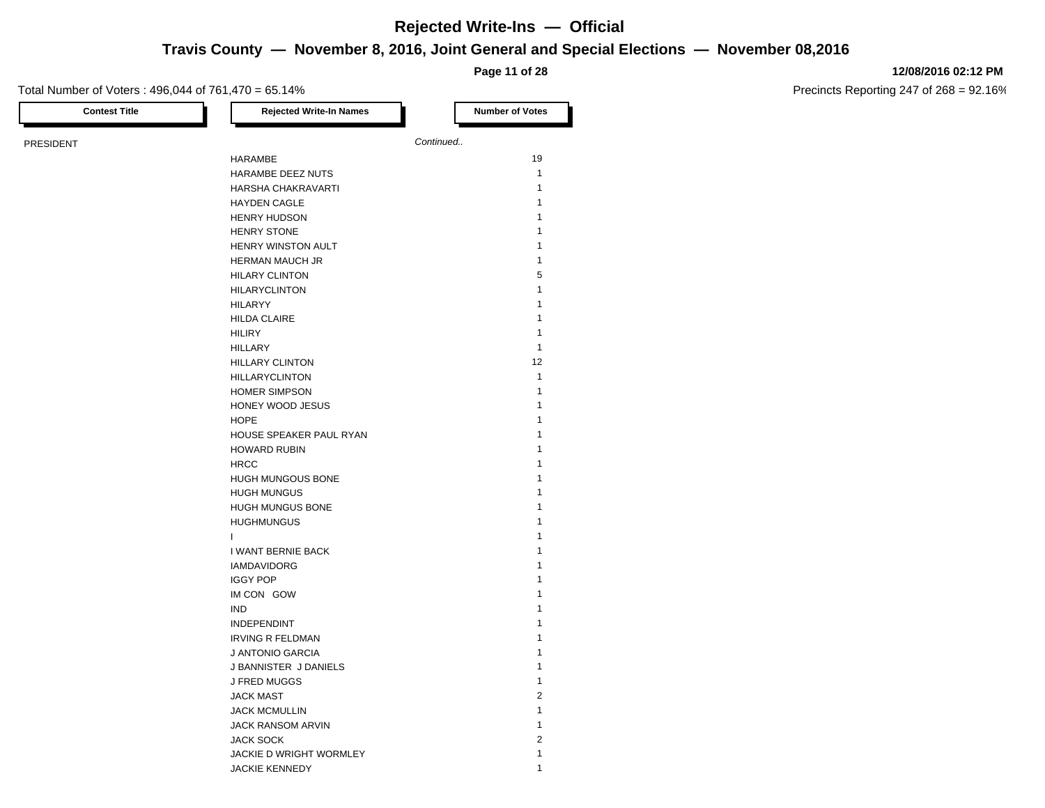**Travis County — November 8, 2016, Joint General and Special Elections — November 08,2016**

**Page 11 of 28**

### **12/08/2016 02:12 PM**

Precincts Reporting 247 of 268 = 92.16%

| <b>Contest Title</b> | <b>Rejected Write-In Names</b> | <b>Number of Votes</b> |
|----------------------|--------------------------------|------------------------|
| <b>PRESIDENT</b>     |                                | Continued              |
|                      | HARAMBE                        | 19                     |
|                      | HARAMBE DEEZ NUTS              | $\mathbf{1}$           |
|                      | HARSHA CHAKRAVARTI             | 1                      |
|                      | <b>HAYDEN CAGLE</b>            | $\mathbf{1}$           |
|                      | <b>HENRY HUDSON</b>            | 1                      |
|                      | <b>HENRY STONE</b>             | 1                      |
|                      | HENRY WINSTON AULT             | 1                      |
|                      | <b>HERMAN MAUCH JR</b>         | 1                      |
|                      | <b>HILARY CLINTON</b>          | 5                      |
|                      | <b>HILARYCLINTON</b>           | 1                      |
|                      | <b>HILARYY</b>                 | 1                      |
|                      | <b>HILDA CLAIRE</b>            | 1                      |
|                      | <b>HILIRY</b>                  | $\mathbf{1}$           |
|                      | <b>HILLARY</b>                 | 1                      |
|                      |                                | 12                     |
|                      | <b>HILLARY CLINTON</b>         | $\mathbf{1}$           |
|                      | <b>HILLARYCLINTON</b>          | $\mathbf{1}$           |
|                      | <b>HOMER SIMPSON</b>           |                        |
|                      | HONEY WOOD JESUS               | 1                      |
|                      | <b>HOPE</b>                    | 1                      |
|                      | HOUSE SPEAKER PAUL RYAN        | 1                      |
|                      | <b>HOWARD RUBIN</b>            | 1                      |
|                      | <b>HRCC</b>                    | 1                      |
|                      | HUGH MUNGOUS BONE              | 1                      |
|                      | <b>HUGH MUNGUS</b>             | 1                      |
|                      | HUGH MUNGUS BONE               | 1                      |
|                      | <b>HUGHMUNGUS</b>              | 1                      |
|                      | T                              | 1                      |
|                      | I WANT BERNIE BACK             | 1                      |
|                      | <b>IAMDAVIDORG</b>             | 1                      |
|                      | <b>IGGY POP</b>                | 1                      |
|                      | IM CON GOW                     | 1                      |
|                      | <b>IND</b>                     | 1                      |
|                      | <b>INDEPENDINT</b>             | 1                      |
|                      | <b>IRVING R FELDMAN</b>        | 1                      |
|                      | J ANTONIO GARCIA               | 1                      |
|                      | J BANNISTER J DANIELS          | 1                      |
|                      | J FRED MUGGS                   | $\mathbf{1}$           |
|                      | <b>JACK MAST</b>               | $\overline{c}$         |
|                      | <b>JACK MCMULLIN</b>           | 1                      |
|                      | JACK RANSOM ARVIN              | 1                      |
|                      | <b>JACK SOCK</b>               | $\overline{2}$         |
|                      | JACKIE D WRIGHT WORMLEY        | $\mathbf{1}$           |

JACKIE KENNEDY 1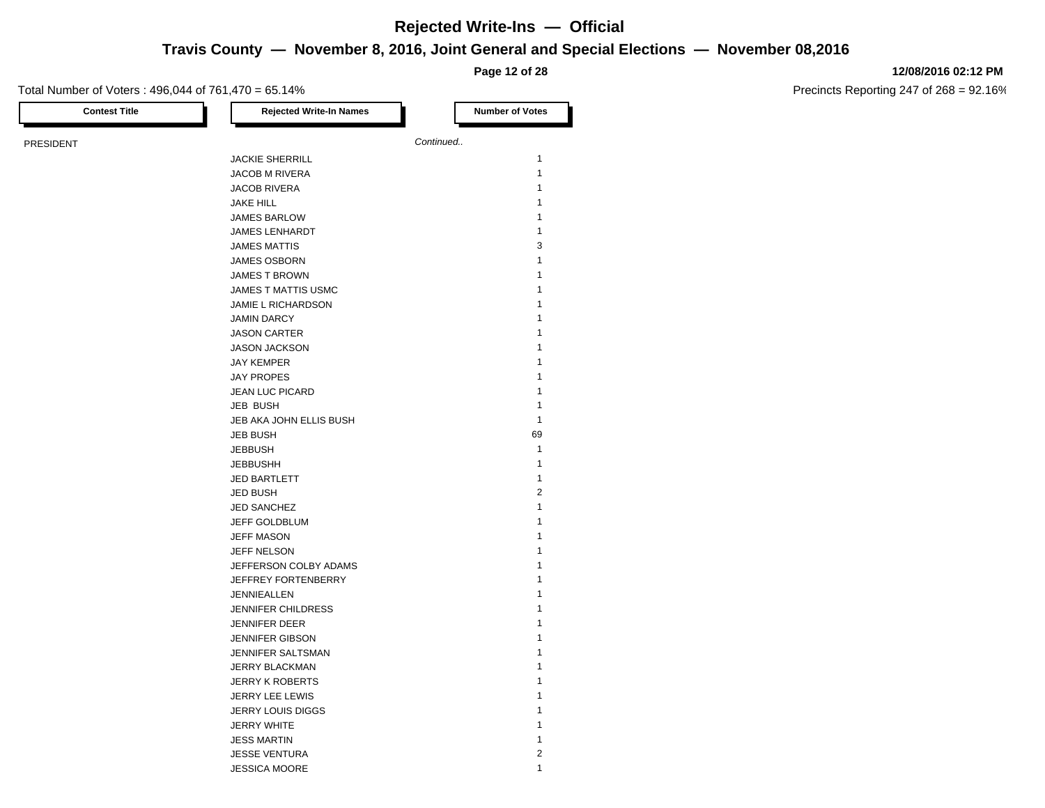**Travis County — November 8, 2016, Joint General and Special Elections — November 08,2016**

**Page 12 of 28**

### **12/08/2016 02:12 PM**

Precincts Reporting 247 of 268 = 92.16%

| <b>Contest Title</b> | <b>Rejected Write-In Names</b> | <b>Number of Votes</b> |
|----------------------|--------------------------------|------------------------|
|                      |                                | Continued              |
| <b>PRESIDENT</b>     |                                |                        |
|                      | <b>JACKIE SHERRILL</b>         |                        |
|                      | <b>JACOB M RIVERA</b>          |                        |
|                      | <b>JACOB RIVERA</b>            |                        |
|                      | <b>JAKE HILL</b>               |                        |
|                      | <b>JAMES BARLOW</b>            |                        |
|                      | <b>JAMES LENHARDT</b>          |                        |
|                      | <b>JAMES MATTIS</b>            |                        |
|                      | JAMES OSBORN                   |                        |
|                      | <b>JAMES T BROWN</b>           |                        |
|                      | JAMES T MATTIS USMC            |                        |
|                      | JAMIE L RICHARDSON             |                        |
|                      | <b>JAMIN DARCY</b>             |                        |
|                      | <b>JASON CARTER</b>            |                        |
|                      | <b>JASON JACKSON</b>           |                        |
|                      | <b>JAY KEMPER</b>              |                        |
|                      | <b>JAY PROPES</b>              |                        |
|                      | JEAN LUC PICARD                |                        |
|                      | JEB BUSH                       |                        |
|                      | JEB AKA JOHN ELLIS BUSH        |                        |
|                      | <b>JEB BUSH</b>                | 69                     |
|                      | <b>JEBBUSH</b>                 |                        |
|                      | <b>JEBBUSHH</b>                |                        |
|                      | <b>JED BARTLETT</b>            |                        |
|                      | <b>JED BUSH</b>                |                        |
|                      | <b>JED SANCHEZ</b>             |                        |
|                      | JEFF GOLDBLUM                  |                        |
|                      | <b>JEFF MASON</b>              |                        |
|                      | JEFF NELSON                    |                        |
|                      | JEFFERSON COLBY ADAMS          |                        |
|                      | JEFFREY FORTENBERRY            |                        |
|                      | JENNIEALLEN                    |                        |
|                      | <b>JENNIFER CHILDRESS</b>      |                        |
|                      | <b>JENNIFER DEER</b>           |                        |
|                      | <b>JENNIFER GIBSON</b>         |                        |
|                      | JENNIFER SALTSMAN              |                        |
|                      | JERRY BLACKMAN                 |                        |
|                      | <b>JERRY K ROBERTS</b>         |                        |
|                      | <b>JERRY LEE LEWIS</b>         |                        |
|                      | <b>JERRY LOUIS DIGGS</b>       |                        |
|                      | <b>JERRY WHITE</b>             |                        |
|                      | <b>JESS MARTIN</b>             |                        |
|                      | <b>JESSE VENTURA</b>           |                        |

JESSICA MOORE 1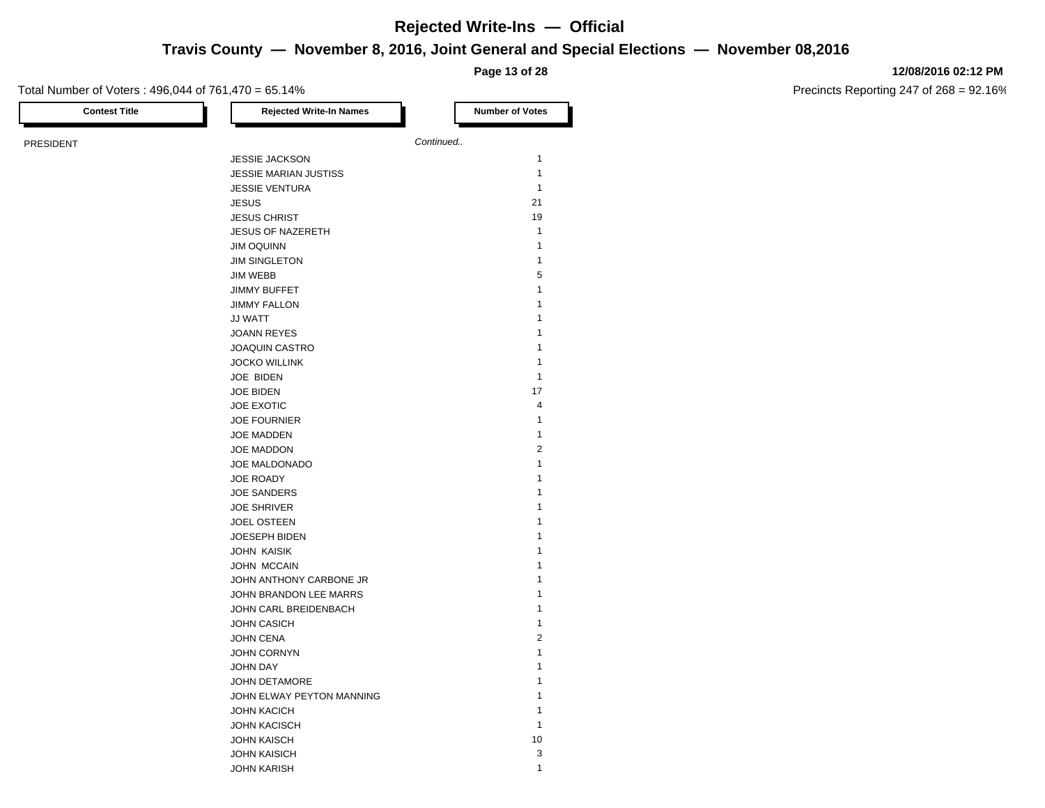## **Travis County — November 8, 2016, Joint General and Special Elections — November 08,2016**

**Page 13 of 28**

### **12/08/2016 02:12 PM**

Precincts Reporting 247 of 268 = 92.16%

| <b>Contest Title</b> | <b>Rejected Write-In Names</b> | <b>Number of Votes</b>  |
|----------------------|--------------------------------|-------------------------|
| <b>PRESIDENT</b>     |                                | Continued               |
|                      | <b>JESSIE JACKSON</b>          | $\mathbf{1}$            |
|                      | <b>JESSIE MARIAN JUSTISS</b>   | $\mathbf{1}$            |
|                      | <b>JESSIE VENTURA</b>          | 1                       |
|                      | <b>JESUS</b>                   | 21                      |
|                      | <b>JESUS CHRIST</b>            | 19                      |
|                      | <b>JESUS OF NAZERETH</b>       | $\mathbf{1}$            |
|                      | <b>JIM OQUINN</b>              | 1                       |
|                      | <b>JIM SINGLETON</b>           | $\mathbf{1}$            |
|                      |                                | 5                       |
|                      | <b>JIM WEBB</b>                | 1                       |
|                      | <b>JIMMY BUFFET</b>            |                         |
|                      | <b>JIMMY FALLON</b>            | 1                       |
|                      | JJ WATT                        | 1                       |
|                      | <b>JOANN REYES</b>             | 1                       |
|                      | <b>JOAQUIN CASTRO</b>          | 1                       |
|                      | <b>JOCKO WILLINK</b>           | 1                       |
|                      | JOE BIDEN                      | 1                       |
|                      | <b>JOE BIDEN</b>               | 17                      |
|                      | JOE EXOTIC                     | $\overline{\mathbf{4}}$ |
|                      | <b>JOE FOURNIER</b>            | 1                       |
|                      | JOE MADDEN                     | $\mathbf{1}$            |
|                      | JOE MADDON                     | $\overline{2}$          |
|                      | JOE MALDONADO                  | 1                       |
|                      | JOE ROADY                      | 1                       |
|                      | <b>JOE SANDERS</b>             | 1                       |
|                      | <b>JOE SHRIVER</b>             | 1                       |
|                      | <b>JOEL OSTEEN</b>             | 1                       |
|                      | JOESEPH BIDEN                  | 1                       |
|                      | <b>JOHN KAISIK</b>             | 1                       |
|                      | JOHN MCCAIN                    | 1                       |
|                      | JOHN ANTHONY CARBONE JR        | 1                       |
|                      | JOHN BRANDON LEE MARRS         | 1                       |
|                      | JOHN CARL BREIDENBACH          | 1                       |
|                      | <b>JOHN CASICH</b>             | 1                       |
|                      | <b>JOHN CENA</b>               | $\overline{2}$          |
|                      | JOHN CORNYN                    | 1                       |
|                      | <b>JOHN DAY</b>                | 1                       |
|                      | JOHN DETAMORE                  | 1                       |
|                      | JOHN ELWAY PEYTON MANNING      | 1                       |
|                      | <b>JOHN KACICH</b>             | 1                       |
|                      | <b>JOHN KACISCH</b>            | 1                       |
|                      | <b>JOHN KAISCH</b>             | 10                      |
|                      |                                |                         |

JOHN KAISICH 3 JOHN KARISH 1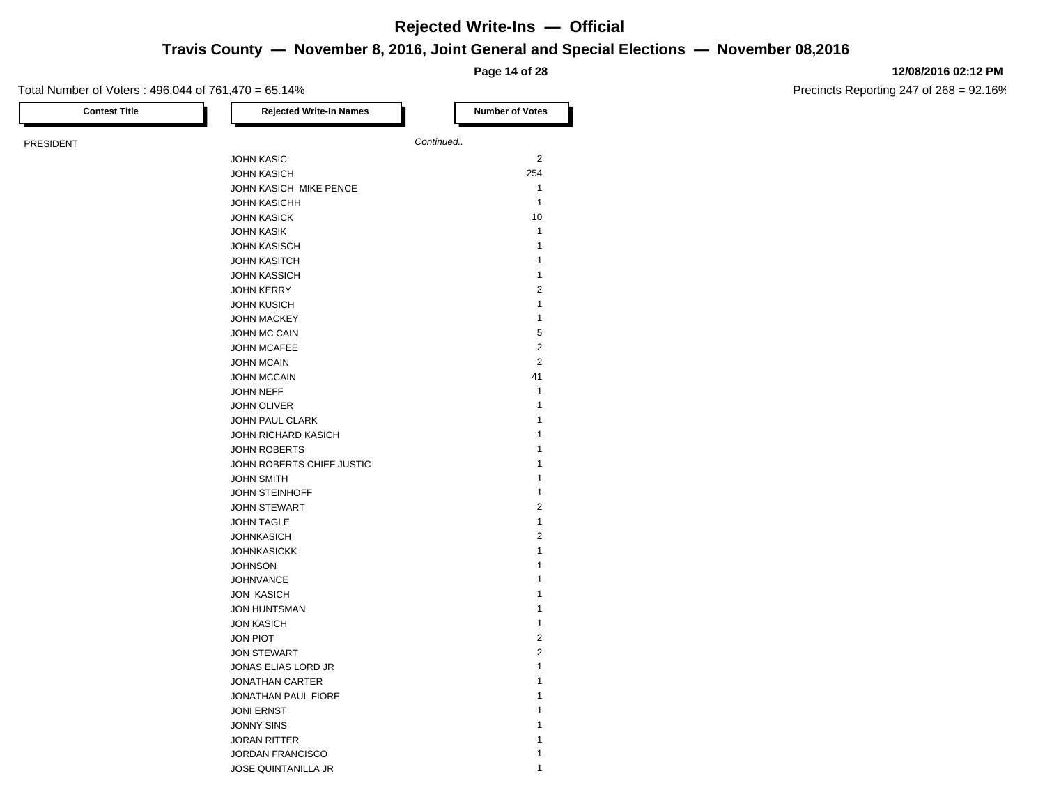## **Travis County — November 8, 2016, Joint General and Special Elections — November 08,2016**

**Page 14 of 28**

### **12/08/2016 02:12 PM**

Precincts Reporting 247 of 268 = 92.16%

| <b>Contest Title</b> | <b>Rejected Write-In Names</b> | <b>Number of Votes</b> |
|----------------------|--------------------------------|------------------------|
| <b>PRESIDENT</b>     |                                | Continued              |
|                      | <b>JOHN KASIC</b>              | $\overline{2}$         |
|                      | <b>JOHN KASICH</b>             | 254                    |
|                      | JOHN KASICH MIKE PENCE         | 1                      |
|                      | <b>JOHN KASICHH</b>            | $\mathbf{1}$           |
|                      | <b>JOHN KASICK</b>             | 10                     |
|                      | <b>JOHN KASIK</b>              | $\mathbf{1}$           |
|                      | <b>JOHN KASISCH</b>            | 1                      |
|                      | <b>JOHN KASITCH</b>            | 1                      |
|                      | <b>JOHN KASSICH</b>            | 1                      |
|                      | <b>JOHN KERRY</b>              | $\sqrt{2}$             |
|                      | <b>JOHN KUSICH</b>             | 1                      |
|                      | <b>JOHN MACKEY</b>             | 1                      |
|                      | JOHN MC CAIN                   | $\,$ 5 $\,$            |
|                      | <b>JOHN MCAFEE</b>             | $\overline{2}$         |
|                      | <b>JOHN MCAIN</b>              | $\overline{2}$         |
|                      | <b>JOHN MCCAIN</b>             | 41                     |
|                      | JOHN NEFF                      | 1                      |
|                      | <b>JOHN OLIVER</b>             | 1                      |
|                      | JOHN PAUL CLARK                | 1                      |
|                      | JOHN RICHARD KASICH            | 1                      |
|                      | <b>JOHN ROBERTS</b>            | 1                      |
|                      | JOHN ROBERTS CHIEF JUSTIC      | 1                      |
|                      | <b>JOHN SMITH</b>              | 1                      |
|                      | <b>JOHN STEINHOFF</b>          | 1                      |
|                      | <b>JOHN STEWART</b>            | $\overline{2}$         |
|                      | <b>JOHN TAGLE</b>              | 1                      |
|                      | <b>JOHNKASICH</b>              | $\boldsymbol{2}$       |
|                      | <b>JOHNKASICKK</b>             | $\mathbf{1}$           |
|                      | <b>JOHNSON</b>                 | 1                      |
|                      | <b>JOHNVANCE</b>               | 1                      |
|                      | <b>JON KASICH</b>              | 1                      |
|                      | <b>JON HUNTSMAN</b>            | 1                      |
|                      | <b>JON KASICH</b>              | $\mathbf{1}$           |
|                      | <b>JON PIOT</b>                | $\sqrt{2}$             |
|                      | <b>JON STEWART</b>             | $\sqrt{2}$             |
|                      | JONAS ELIAS LORD JR            | 1                      |
|                      | JONATHAN CARTER                | 1                      |
|                      | JONATHAN PAUL FIORE            | 1                      |
|                      | <b>JONI ERNST</b>              | 1                      |
|                      | <b>JONNY SINS</b>              | 1                      |
|                      | <b>JORAN RITTER</b>            | 1                      |
|                      | <b>JORDAN FRANCISCO</b>        | 1                      |

JOSE QUINTANILLA JR 1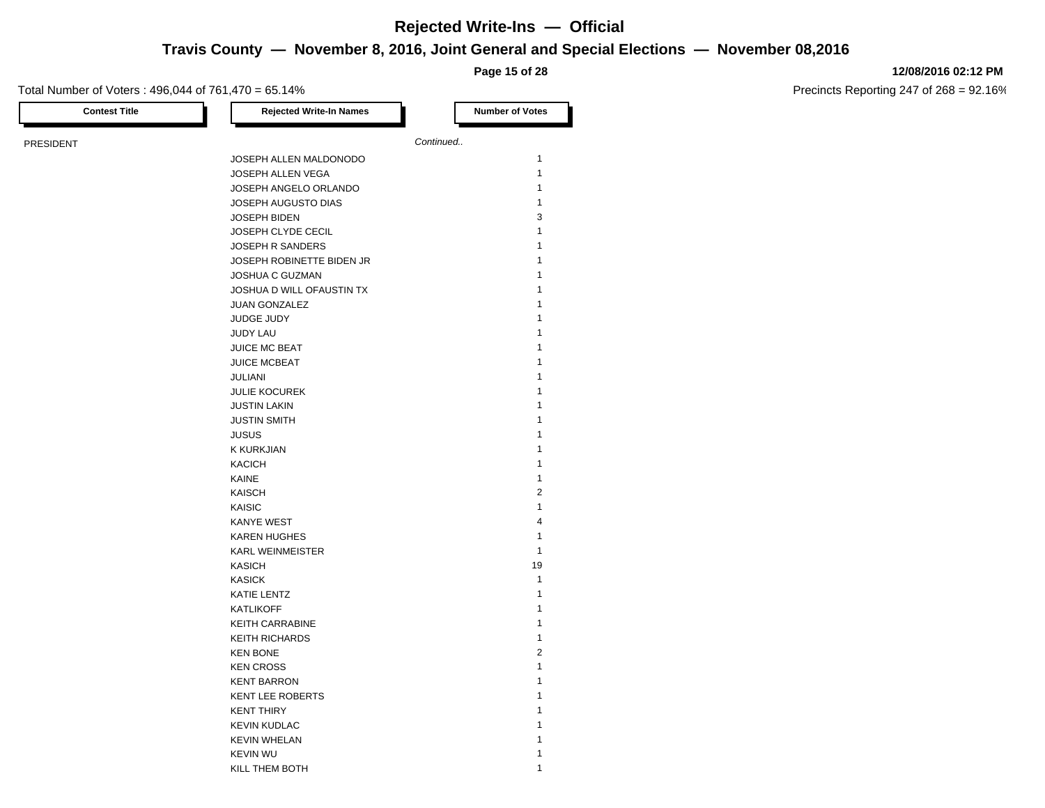## **Travis County — November 8, 2016, Joint General and Special Elections — November 08,2016**

**Page 15 of 28**

### **12/08/2016 02:12 PM**

| <b>Contest Title</b> | <b>Rejected Write-In Names</b> | <b>Number of Votes</b> |
|----------------------|--------------------------------|------------------------|
| <b>PRESIDENT</b>     |                                | Continued              |
|                      | JOSEPH ALLEN MALDONODO         | 1                      |
|                      | JOSEPH ALLEN VEGA              | $\mathbf{1}$           |
|                      | JOSEPH ANGELO ORLANDO          | 1                      |
|                      | JOSEPH AUGUSTO DIAS            | $\mathbf{1}$           |
|                      | <b>JOSEPH BIDEN</b>            | 3                      |
|                      | JOSEPH CLYDE CECIL             | 1                      |
|                      | JOSEPH R SANDERS               | 1                      |
|                      | JOSEPH ROBINETTE BIDEN JR      | 1                      |
|                      | <b>JOSHUA C GUZMAN</b>         | 1                      |
|                      | JOSHUA D WILL OFAUSTIN TX      | 1                      |
|                      | JUAN GONZALEZ                  | 1                      |
|                      | JUDGE JUDY                     | 1                      |
|                      | <b>JUDY LAU</b>                | 1                      |
|                      | <b>JUICE MC BEAT</b>           | 1                      |
|                      | <b>JUICE MCBEAT</b>            | 1                      |
|                      | <b>JULIANI</b>                 | 1                      |
|                      | <b>JULIE KOCUREK</b>           | 1                      |
|                      | <b>JUSTIN LAKIN</b>            | 1                      |
|                      | <b>JUSTIN SMITH</b>            | 1                      |
|                      | <b>JUSUS</b>                   | 1                      |
|                      | <b>K KURKJIAN</b>              | 1                      |
|                      | <b>KACICH</b>                  | 1                      |
|                      | KAINE                          | 1                      |
|                      | <b>KAISCH</b>                  | $\overline{2}$         |
|                      | <b>KAISIC</b>                  | 1                      |
|                      | <b>KANYE WEST</b>              | $\overline{4}$         |
|                      | <b>KAREN HUGHES</b>            | 1                      |
|                      | <b>KARL WEINMEISTER</b>        | $\mathbf{1}$           |
|                      | <b>KASICH</b>                  | 19                     |
|                      | <b>KASICK</b>                  | $\mathbf{1}$           |
|                      | KATIE LENTZ                    | 1                      |
|                      | <b>KATLIKOFF</b>               | $\mathbf{1}$           |
|                      | <b>KEITH CARRABINE</b>         | 1                      |
|                      | <b>KEITH RICHARDS</b>          | 1                      |
|                      | <b>KEN BONE</b>                | $\overline{2}$         |
|                      | <b>KEN CROSS</b>               | 1                      |
|                      | <b>KENT BARRON</b>             | 1                      |
|                      | <b>KENT LEE ROBERTS</b>        | 1                      |
|                      | <b>KENT THIRY</b>              | 1                      |
|                      | <b>KEVIN KUDLAC</b>            | 1                      |
|                      | <b>KEVIN WHELAN</b>            |                        |
|                      | <b>KEVIN WU</b>                | 1                      |
|                      | KILL THEM BOTH                 | 1                      |
|                      |                                |                        |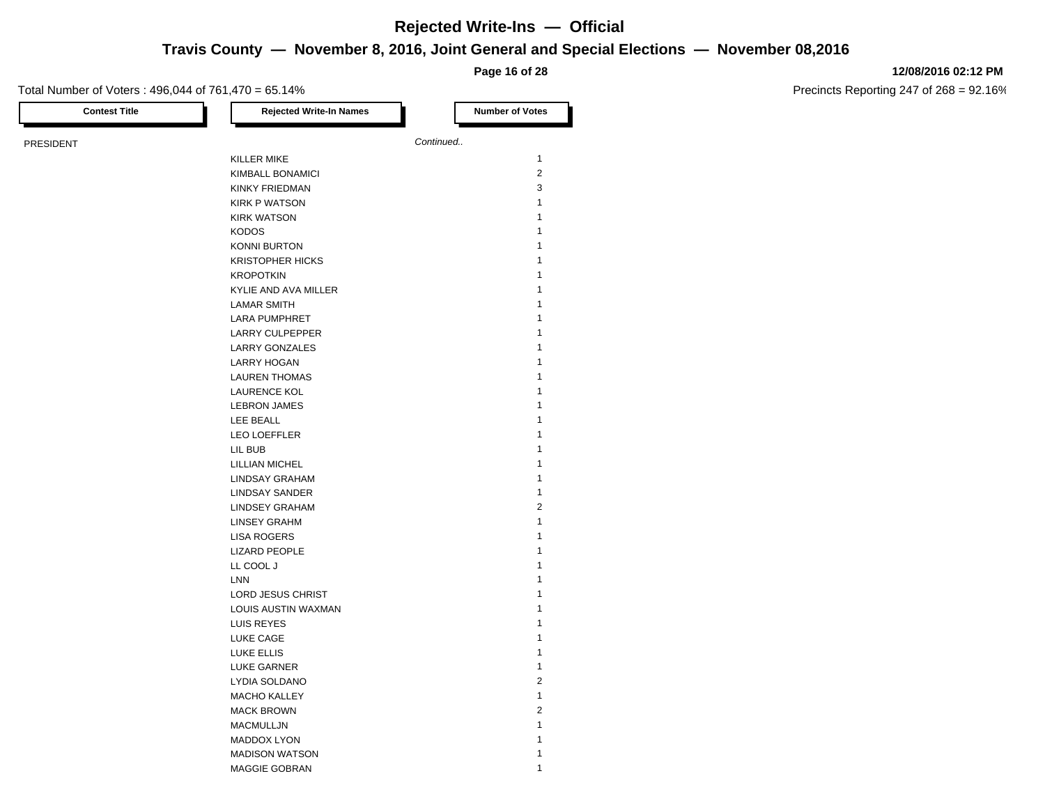## **Write-Ins — Official**

## **General and Special Elections — November 08,2016**

#### **12/08/2016 02:12 PM**

Precincts Reporting 247 of 268 = 92.16%

|                                                     |                                                                 | Rejected Write-Ins — Official |  |
|-----------------------------------------------------|-----------------------------------------------------------------|-------------------------------|--|
|                                                     | Travis County - November 8, 2016, Joint General and Special Ele |                               |  |
|                                                     |                                                                 | Page 16 of 28                 |  |
| Total Number of Voters: 496,044 of 761,470 = 65.14% |                                                                 |                               |  |
| <b>Contest Title</b>                                | <b>Rejected Write-In Names</b>                                  | <b>Number of Votes</b>        |  |
| <b>PRESIDENT</b>                                    |                                                                 | Continued                     |  |
|                                                     | <b>KILLER MIKE</b>                                              | 1                             |  |
|                                                     | <b>KIMBALL BONAMICI</b>                                         | 2                             |  |
|                                                     | <b>KINKY FRIEDMAN</b>                                           | 3                             |  |
|                                                     | <b>KIRK P WATSON</b>                                            |                               |  |
|                                                     | <b>KIRK WATSON</b>                                              | 1                             |  |
|                                                     | <b>KODOS</b>                                                    |                               |  |
|                                                     | <b>KONNI BURTON</b>                                             |                               |  |
|                                                     | <b>KRISTOPHER HICKS</b>                                         |                               |  |
|                                                     | <b>KROPOTKIN</b>                                                |                               |  |
|                                                     | <b>KYLIE AND AVA MILLER</b>                                     |                               |  |
|                                                     | <b>LAMAR SMITH</b>                                              |                               |  |
|                                                     | <b>LARA PUMPHRET</b>                                            |                               |  |
|                                                     | <b>LARRY CULPEPPER</b>                                          |                               |  |
|                                                     | <b>LARRY GONZALES</b>                                           |                               |  |
|                                                     | <b>LARRY HOGAN</b>                                              |                               |  |
|                                                     | <b>LAUREN THOMAS</b>                                            |                               |  |
|                                                     | <b>LAURENCE KOL</b>                                             |                               |  |
|                                                     | <b>LEBRON JAMES</b>                                             |                               |  |
|                                                     | LEE BEALL                                                       |                               |  |
|                                                     | <b>LEO LOEFFLER</b>                                             |                               |  |
|                                                     | LIL BUB                                                         | 1                             |  |

LILLIAN MICHEL 1 LINDSAY GRAHAM 1 LINDSAY SANDER 1 LINDSEY GRAHAM 2 LINSEY GRAHM 1 LISA ROGERS 1 LIZARD PEOPLE 1 LL COOL J

LORD JESUS CHRIST 1 LOUIS AUSTIN WAXMAN 1 LUIS REYES 1 LUKE CAGE 2012 12:00 12:00 12:00 12:00 12:00 12:00 12:00 12:00 12:00 12:00 12:00 12:00 12:00 12:00 12:00 12:00 12:00 12:00 12:00 12:00 12:00 12:00 12:00 12:00 12:00 12:00 12:00 12:00 12:00 12:00 12:00 12:00 12:00 12:00 12: LUKE ELLIS 1 LUKE GARNER 1 LYDIA SOLDANO 2 MACHO KALLEY 1 MACK BROWN 2 MACMULLJN 1 MADDOX LYON 1 MADISON WATSON 1 MAGGIE GOBRAN 1

LNN 1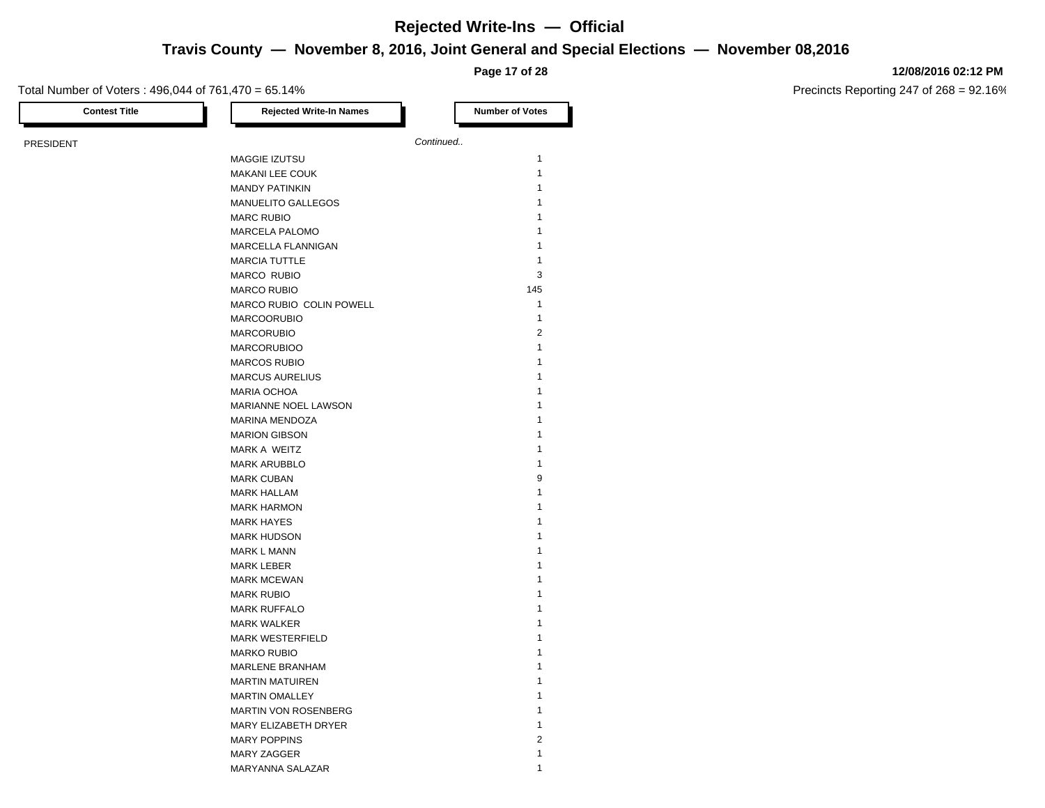**Travis County — November 8, 2016, Joint General and Special Elections — November 08,2016**

**Page 17 of 28**

#### **12/08/2016 02:12 PM**

| <b>Contest Title</b> | <b>Rejected Write-In Names</b> | <b>Number of Votes</b> |
|----------------------|--------------------------------|------------------------|
| <b>PRESIDENT</b>     |                                | Continued              |
|                      | MAGGIE IZUTSU                  | 1                      |
|                      | <b>MAKANI LEE COUK</b>         | $\mathbf{1}$           |
|                      | <b>MANDY PATINKIN</b>          | 1                      |
|                      | MANUELITO GALLEGOS             | 1                      |
|                      | <b>MARC RUBIO</b>              | 1                      |
|                      | <b>MARCELA PALOMO</b>          | 1                      |
|                      | MARCELLA FLANNIGAN             | $\mathbf{1}$           |
|                      | <b>MARCIA TUTTLE</b>           | $\mathbf{1}$           |
|                      | MARCO RUBIO                    | 3                      |
|                      | <b>MARCO RUBIO</b>             | 145                    |
|                      | MARCO RUBIO COLIN POWELL       | $\mathbf{1}$           |
|                      | <b>MARCOORUBIO</b>             | $\mathbf{1}$           |
|                      | <b>MARCORUBIO</b>              | $\overline{2}$         |
|                      | <b>MARCORUBIOO</b>             | 1                      |
|                      | <b>MARCOS RUBIO</b>            | 1                      |
|                      | <b>MARCUS AURELIUS</b>         | 1                      |
|                      | <b>MARIA OCHOA</b>             | 1                      |
|                      | MARIANNE NOEL LAWSON           | 1                      |
|                      | MARINA MENDOZA                 | 1                      |
|                      | <b>MARION GIBSON</b>           | 1                      |
|                      | MARK A WEITZ                   | 1                      |
|                      | <b>MARK ARUBBLO</b>            | 1                      |
|                      | <b>MARK CUBAN</b>              | 9                      |
|                      | <b>MARK HALLAM</b>             | 1                      |
|                      | <b>MARK HARMON</b>             | 1                      |
|                      | <b>MARK HAYES</b>              | 1                      |
|                      | <b>MARK HUDSON</b>             | 1                      |
|                      | <b>MARK L MANN</b>             | 1                      |
|                      | <b>MARK LEBER</b>              | 1                      |
|                      | <b>MARK MCEWAN</b>             | 1                      |
|                      | <b>MARK RUBIO</b>              | 1                      |
|                      | <b>MARK RUFFALO</b>            | 1                      |
|                      | <b>MARK WALKER</b>             | 1                      |
|                      | <b>MARK WESTERFIELD</b>        | 1                      |
|                      | <b>MARKO RUBIO</b>             | 1                      |
|                      | <b>MARLENE BRANHAM</b>         | 1                      |
|                      | <b>MARTIN MATUIREN</b>         | 1                      |
|                      | <b>MARTIN OMALLEY</b>          | 1                      |
|                      | <b>MARTIN VON ROSENBERG</b>    | 1                      |
|                      | MARY ELIZABETH DRYER           | 1                      |
|                      | <b>MARY POPPINS</b>            | $\overline{2}$         |
|                      | <b>MARY ZAGGER</b>             | 1                      |
|                      | MARYANNA SALAZAR               | 1                      |
|                      |                                |                        |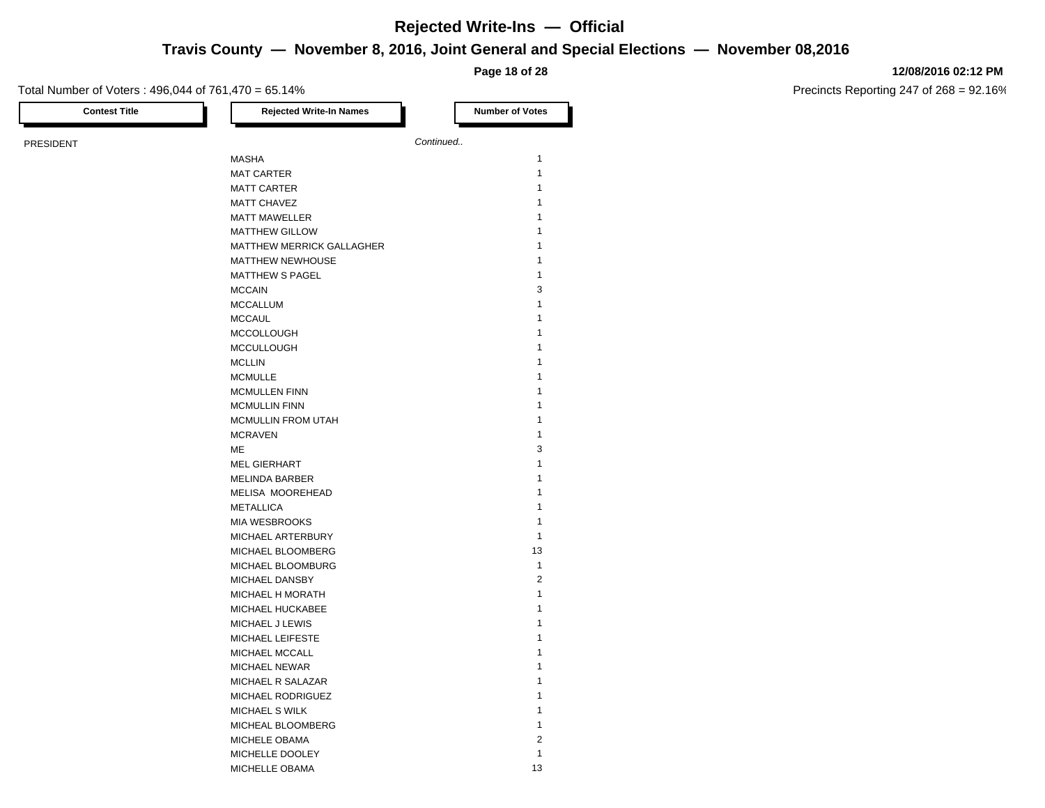## **Travis County — November 8, 2016, Joint General and Special Elections — November 08,2016**

**Page 18 of 28**

### **12/08/2016 02:12 PM**

Precincts Reporting 247 of 268 = 92.16%

| <b>Contest Title</b> | <b>Rejected Write-In Names</b>   | <b>Number of Votes</b> |
|----------------------|----------------------------------|------------------------|
| <b>PRESIDENT</b>     |                                  | Continued              |
|                      | MASHA                            | $\mathbf{1}$           |
|                      | <b>MAT CARTER</b>                | 1                      |
|                      | <b>MATT CARTER</b>               | $\mathbf{1}$           |
|                      | <b>MATT CHAVEZ</b>               | 1                      |
|                      | <b>MATT MAWELLER</b>             | 1                      |
|                      | <b>MATTHEW GILLOW</b>            | 1                      |
|                      | <b>MATTHEW MERRICK GALLAGHER</b> | 1                      |
|                      | MATTHEW NEWHOUSE                 | 1                      |
|                      |                                  | 1                      |
|                      | <b>MATTHEW S PAGEL</b>           |                        |
|                      | <b>MCCAIN</b>                    | 3                      |
|                      | <b>MCCALLUM</b>                  | 1                      |
|                      | <b>MCCAUL</b>                    | 1                      |
|                      | <b>MCCOLLOUGH</b>                | 1                      |
|                      | <b>MCCULLOUGH</b>                | 1                      |
|                      | <b>MCLLIN</b>                    | 1                      |
|                      | <b>MCMULLE</b>                   | 1                      |
|                      | <b>MCMULLEN FINN</b>             | 1                      |
|                      | <b>MCMULLIN FINN</b>             | 1                      |
|                      | <b>MCMULLIN FROM UTAH</b>        | 1                      |
|                      | <b>MCRAVEN</b>                   | 1                      |
|                      | МE                               | 3                      |
|                      | <b>MEL GIERHART</b>              | 1                      |
|                      | <b>MELINDA BARBER</b>            | 1                      |
|                      | MELISA MOOREHEAD                 | 1                      |
|                      | <b>METALLICA</b>                 | 1                      |
|                      | MIA WESBROOKS                    | 1                      |
|                      | MICHAEL ARTERBURY                | $\mathbf{1}$           |
|                      | MICHAEL BLOOMBERG                | 13                     |
|                      | MICHAEL BLOOMBURG                | $\mathbf{1}$           |
|                      | MICHAEL DANSBY                   | $\boldsymbol{2}$       |
|                      | <b>MICHAEL H MORATH</b>          | 1                      |
|                      | MICHAEL HUCKABEE                 | 1                      |
|                      | MICHAEL J LEWIS                  | 1                      |
|                      | MICHAEL LEIFESTE                 | 1                      |
|                      | MICHAEL MCCALL                   | 1                      |
|                      | <b>MICHAEL NEWAR</b>             | 1                      |
|                      | MICHAEL R SALAZAR                | 1                      |
|                      | MICHAEL RODRIGUEZ                | 1                      |
|                      | MICHAEL S WILK                   | 1                      |
|                      | MICHEAL BLOOMBERG                | 1                      |
|                      | MICHELE OBAMA                    | $\sqrt{2}$             |
|                      | MICHELLE DOOLEY                  | $\mathbf{1}$           |
|                      |                                  |                        |

MICHELLE OBAMA 13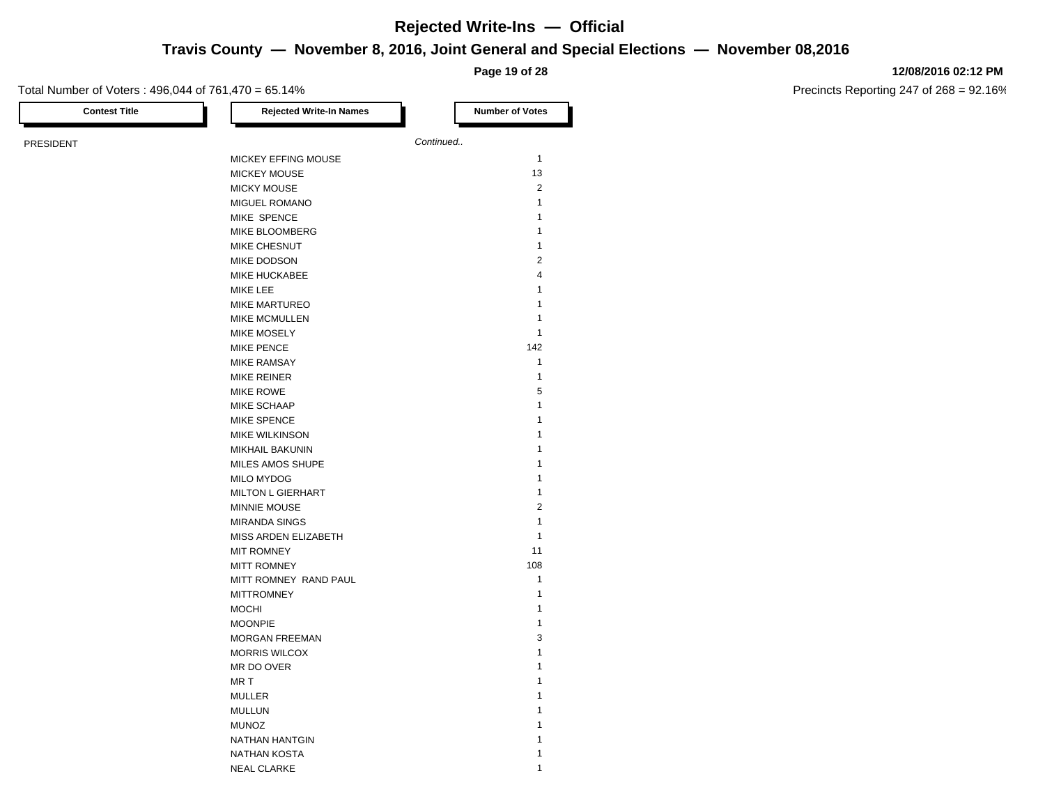### **Travis County — November 8, 2016, Joint General and Special Elections — November 08,2016**

**Page 19 of 28**

### **12/08/2016 02:12 PM**

Precincts Reporting 247 of 268 = 92.16%

| <b>Contest Title</b> | <b>Rejected Write-In Names</b> | <b>Number of Votes</b> |
|----------------------|--------------------------------|------------------------|
| <b>PRESIDENT</b>     |                                | Continued              |
|                      | MICKEY EFFING MOUSE            | $\mathbf{1}$           |
|                      | <b>MICKEY MOUSE</b>            | 13                     |
|                      | <b>MICKY MOUSE</b>             | $\overline{2}$         |
|                      | MIGUEL ROMANO                  | $\mathbf{1}$           |
|                      | MIKE SPENCE                    | 1                      |
|                      | MIKE BLOOMBERG                 | 1                      |
|                      | <b>MIKE CHESNUT</b>            | 1                      |
|                      | MIKE DODSON                    | $\overline{2}$         |
|                      | MIKE HUCKABEE                  | $\overline{4}$         |
|                      | MIKE LEE                       | 1                      |
|                      | <b>MIKE MARTUREO</b>           | $\mathbf{1}$           |
|                      | <b>MIKE MCMULLEN</b>           | 1                      |
|                      | MIKE MOSELY                    | $\mathbf{1}$           |
|                      | <b>MIKE PENCE</b>              | 142                    |
|                      | <b>MIKE RAMSAY</b>             | $\mathbf{1}$           |
|                      | MIKE REINER                    | $\mathbf{1}$           |
|                      | <b>MIKE ROWE</b>               | 5                      |
|                      | MIKE SCHAAP                    | 1                      |
|                      | <b>MIKE SPENCE</b>             | 1                      |
|                      |                                | 1                      |
|                      | <b>MIKE WILKINSON</b>          | 1                      |
|                      | <b>MIKHAIL BAKUNIN</b>         |                        |
|                      | MILES AMOS SHUPE               | 1                      |
|                      | MILO MYDOG                     | 1                      |
|                      | <b>MILTON L GIERHART</b>       | 1                      |
|                      | <b>MINNIE MOUSE</b>            | $\overline{2}$         |
|                      | <b>MIRANDA SINGS</b>           | $\mathbf{1}$           |
|                      | MISS ARDEN ELIZABETH           | 1                      |
|                      | <b>MIT ROMNEY</b>              | 11                     |
|                      | <b>MITT ROMNEY</b>             | 108                    |
|                      | MITT ROMNEY RAND PAUL          | $\mathbf{1}$           |
|                      | <b>MITTROMNEY</b>              | 1                      |
|                      | <b>MOCHI</b>                   | 1                      |
|                      | <b>MOONPIE</b>                 | 1                      |
|                      | <b>MORGAN FREEMAN</b>          | 3                      |
|                      | <b>MORRIS WILCOX</b>           | $\mathbf{1}$           |
|                      | MR DO OVER                     | 1                      |
|                      | MR <sub>T</sub>                | 1                      |
|                      | <b>MULLER</b>                  | 1                      |
|                      | <b>MULLUN</b>                  | 1                      |
|                      | <b>MUNOZ</b>                   | 1                      |
|                      | NATHAN HANTGIN                 | 1                      |
|                      | <b>NATHAN KOSTA</b>            | 1                      |

NEAL CLARKE 2002 12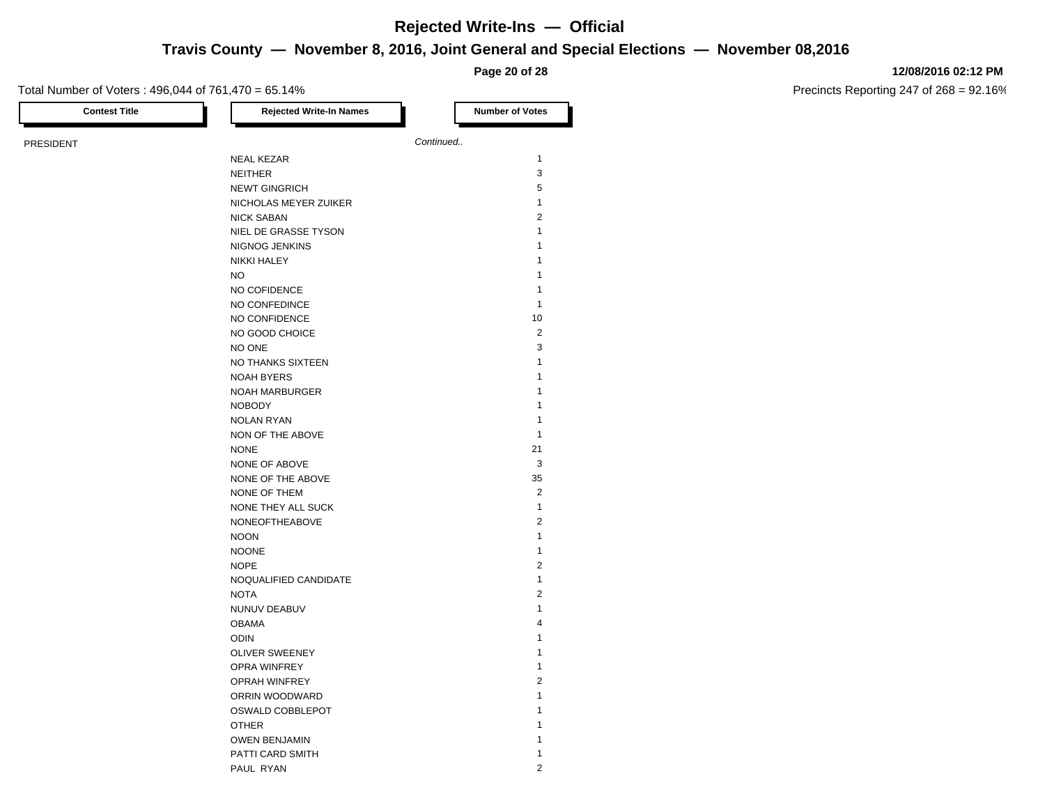## **Travis County — November 8, 2016, Joint General and Special Elections — November 08,2016**

**Page 20 of 28**

### **12/08/2016 02:12 PM**

| <b>Contest Title</b> | <b>Rejected Write-In Names</b> | <b>Number of Votes</b> |
|----------------------|--------------------------------|------------------------|
| <b>PRESIDENT</b>     |                                | Continued              |
|                      | <b>NEAL KEZAR</b>              | 1                      |
|                      | <b>NEITHER</b>                 | 3                      |
|                      | <b>NEWT GINGRICH</b>           | 5                      |
|                      | NICHOLAS MEYER ZUIKER          | $\mathbf{1}$           |
|                      | <b>NICK SABAN</b>              | $\overline{2}$         |
|                      | NIEL DE GRASSE TYSON           | $\mathbf{1}$           |
|                      | NIGNOG JENKINS                 | 1                      |
|                      | NIKKI HALEY                    | 1                      |
|                      | <b>NO</b>                      | 1                      |
|                      |                                |                        |
|                      | NO COFIDENCE                   | 1                      |
|                      | NO CONFEDINCE                  | 1                      |
|                      | NO CONFIDENCE                  | 10                     |
|                      | NO GOOD CHOICE                 | $\overline{2}$         |
|                      | NO ONE                         | 3                      |
|                      | NO THANKS SIXTEEN              | 1                      |
|                      | <b>NOAH BYERS</b>              | 1                      |
|                      | NOAH MARBURGER                 | 1                      |
|                      | <b>NOBODY</b>                  | 1                      |
|                      | <b>NOLAN RYAN</b>              | 1                      |
|                      | NON OF THE ABOVE               | $\mathbf{1}$           |
|                      | <b>NONE</b>                    | 21                     |
|                      | NONE OF ABOVE                  | 3                      |
|                      | NONE OF THE ABOVE              | 35                     |
|                      | NONE OF THEM                   | $\overline{2}$         |
|                      | NONE THEY ALL SUCK             | $\mathbf{1}$           |
|                      | NONEOFTHEABOVE                 | $\overline{2}$         |
|                      | <b>NOON</b>                    | $\mathbf{1}$           |
|                      | <b>NOONE</b>                   | 1                      |
|                      | <b>NOPE</b>                    | $\overline{2}$         |
|                      | NOQUALIFIED CANDIDATE          | $\mathbf{1}$           |
|                      | <b>NOTA</b>                    | $\overline{2}$         |
|                      | NUNUV DEABUV                   | 1                      |
|                      | <b>OBAMA</b>                   | 4                      |
|                      | <b>ODIN</b>                    | 1                      |
|                      | <b>OLIVER SWEENEY</b>          | 1                      |
|                      | OPRA WINFREY                   | 1                      |
|                      | <b>OPRAH WINFREY</b>           | $\overline{2}$         |
|                      | ORRIN WOODWARD                 | 1                      |
|                      | OSWALD COBBLEPOT               | 1                      |
|                      |                                | 1                      |
|                      | <b>OTHER</b>                   | 1                      |
|                      | <b>OWEN BENJAMIN</b>           | 1                      |
|                      | PATTI CARD SMITH               |                        |
|                      | PAUL RYAN                      | $\overline{2}$         |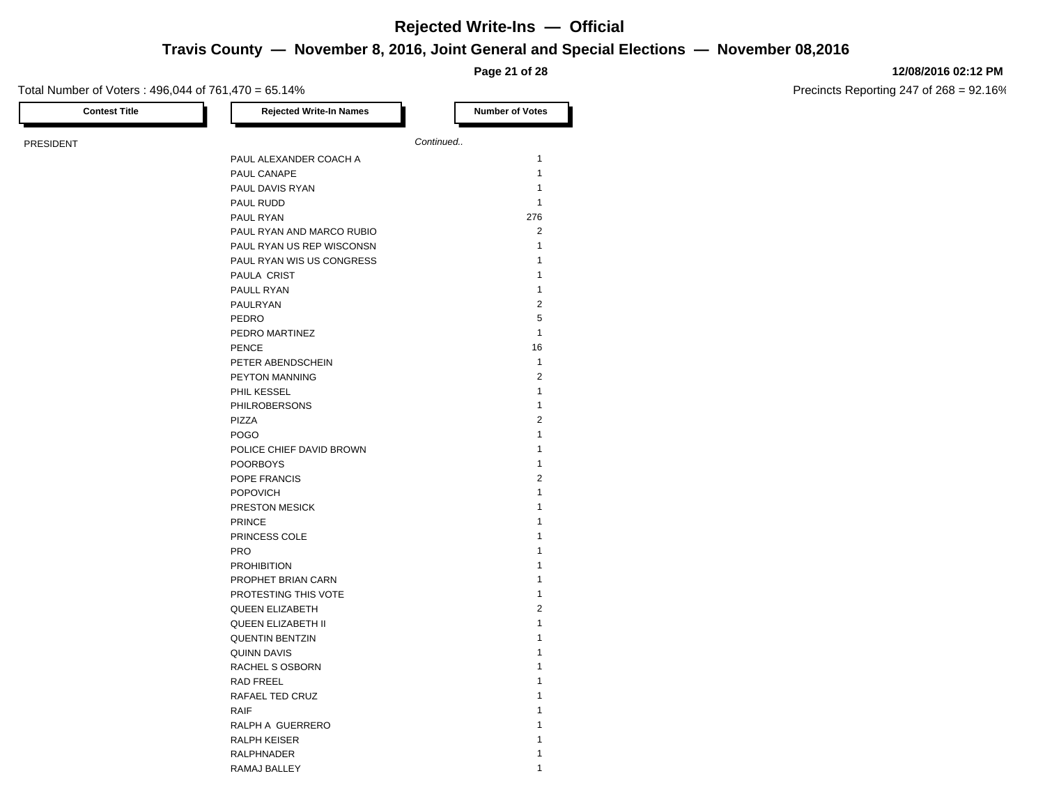## **Travis County — November 8, 2016, Joint General and Special Elections — November 08,2016**

**Page 21 of 28**

### **12/08/2016 02:12 PM**

Precincts Reporting 247 of 268 = 92.16%

| <b>Contest Title</b> | <b>Rejected Write-In Names</b> |           | <b>Number of Votes</b> |
|----------------------|--------------------------------|-----------|------------------------|
|                      |                                |           |                        |
|                      |                                | Continued |                        |
|                      | PAUL ALEXANDER COACH A         |           | 1                      |
|                      | PAUL CANAPE                    |           | 1                      |
|                      | PAUL DAVIS RYAN                |           | 1                      |
|                      | PAUL RUDD                      |           | 1                      |
|                      | PAUL RYAN                      |           | 276                    |
|                      | PAUL RYAN AND MARCO RUBIO      |           | $\overline{2}$         |
|                      | PAUL RYAN US REP WISCONSN      |           | $\mathbf{1}$           |
|                      | PAUL RYAN WIS US CONGRESS      |           | 1                      |
|                      | <b>PAULA CRIST</b>             |           | $\mathbf{1}$           |
|                      | PAULL RYAN                     |           | 1                      |
|                      | PAULRYAN                       |           | $\overline{2}$         |
|                      | PEDRO                          |           | 5                      |
|                      | PEDRO MARTINEZ                 |           | $\mathbf{1}$           |
|                      | <b>PENCE</b>                   |           | 16                     |
|                      | PETER ABENDSCHEIN              |           | $\mathbf{1}$           |
|                      | PEYTON MANNING                 |           | $\overline{2}$         |
|                      | PHIL KESSEL                    |           | $\mathbf{1}$           |
|                      | <b>PHILROBERSONS</b>           |           | $\mathbf{1}$           |
|                      | PIZZA                          |           | $\overline{2}$         |
|                      | <b>POGO</b>                    |           | $\mathbf{1}$           |
|                      | POLICE CHIEF DAVID BROWN       |           | 1                      |
|                      | <b>POORBOYS</b>                |           | $\mathbf{1}$           |
|                      | POPE FRANCIS                   |           | $\overline{2}$         |
|                      | <b>POPOVICH</b>                |           | $\mathbf{1}$           |
|                      | PRESTON MESICK                 |           | 1                      |
|                      | <b>PRINCE</b>                  |           | 1                      |
|                      | PRINCESS COLE                  |           | 1                      |
|                      | <b>PRO</b>                     |           | 1                      |
|                      | <b>PROHIBITION</b>             |           | 1                      |
|                      | PROPHET BRIAN CARN             |           | 1                      |
|                      | PROTESTING THIS VOTE           |           | 1                      |
|                      | <b>QUEEN ELIZABETH</b>         |           | $\overline{2}$         |
|                      | <b>QUEEN ELIZABETH II</b>      |           | 1                      |
|                      | <b>QUENTIN BENTZIN</b>         |           | 1                      |
|                      | <b>QUINN DAVIS</b>             |           | 1                      |
|                      | RACHEL S OSBORN                |           | 1                      |
|                      | RAD FREEL                      |           | 1                      |
|                      | RAFAEL TED CRUZ                |           | 1                      |
|                      | <b>RAIF</b>                    |           | 1                      |
|                      | RALPH A GUERRERO               |           | 1                      |
|                      | RALPH KEISER                   |           | $\mathbf{1}$           |

RALPHNADER 1 RAMAJ BALLEY 1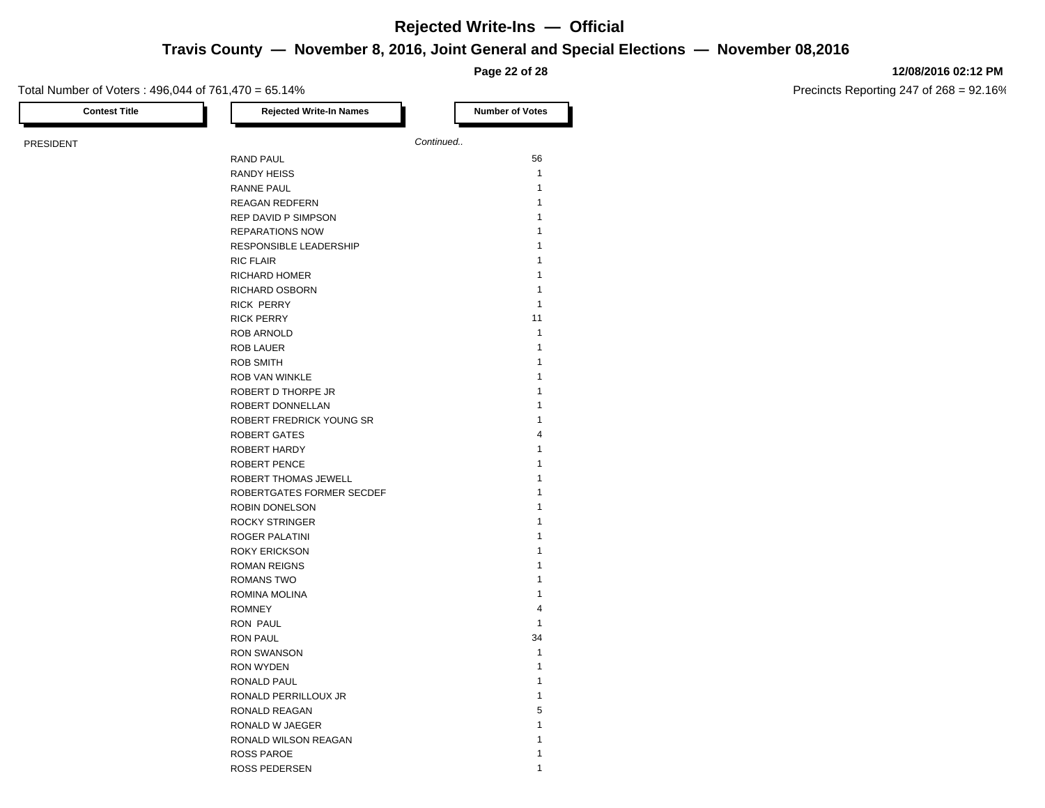**Travis County — November 8, 2016, Joint General and Special Elections — November 08,2016**

**Page 22 of 28**

### Total Number of Voters : 496,044 of 761,470 = 65.14%

**12/08/2016 02:12 PM**

| <b>Contest Title</b> | <b>Rejected Write-In Names</b> | <b>Number of Votes</b> |
|----------------------|--------------------------------|------------------------|
| PRESIDENT            |                                | Continued              |
|                      | <b>RAND PAUL</b>               | 56                     |
|                      | <b>RANDY HEISS</b>             | $\mathbf{1}$           |
|                      | <b>RANNE PAUL</b>              | $\mathbf{1}$           |
|                      | REAGAN REDFERN                 | $\mathbf{1}$           |
|                      | REP DAVID P SIMPSON            | $\mathbf{1}$           |
|                      | <b>REPARATIONS NOW</b>         | $\mathbf{1}$           |
|                      | RESPONSIBLE LEADERSHIP         | $\mathbf{1}$           |
|                      | <b>RIC FLAIR</b>               | $\mathbf{1}$           |
|                      | <b>RICHARD HOMER</b>           | $\mathbf{1}$           |
|                      | RICHARD OSBORN                 | $\mathbf{1}$           |
|                      | <b>RICK PERRY</b>              | $\mathbf{1}$           |
|                      | <b>RICK PERRY</b>              | 11                     |
|                      | ROB ARNOLD                     | $\mathbf{1}$           |
|                      | ROB LAUER                      | $\mathbf{1}$           |
|                      | <b>ROB SMITH</b>               | $\mathbf{1}$           |
|                      | ROB VAN WINKLE                 | $\mathbf{1}$           |
|                      | ROBERT D THORPE JR             | $\mathbf{1}$           |
|                      | ROBERT DONNELLAN               | $\mathbf{1}$           |
|                      | ROBERT FREDRICK YOUNG SR       | $\mathbf{1}$           |
|                      | <b>ROBERT GATES</b>            | $\overline{4}$         |
|                      | ROBERT HARDY                   | $\mathbf{1}$           |
|                      | <b>ROBERT PENCE</b>            | $\mathbf{1}$           |
|                      | ROBERT THOMAS JEWELL           | $\mathbf{1}$           |
|                      | ROBERTGATES FORMER SECDEF      | $\mathbf{1}$           |
|                      | ROBIN DONELSON                 | $\mathbf{1}$           |
|                      | <b>ROCKY STRINGER</b>          | $\mathbf{1}$           |
|                      | ROGER PALATINI                 | $\mathbf{1}$           |
|                      | <b>ROKY ERICKSON</b>           | $\mathbf{1}$           |
|                      | <b>ROMAN REIGNS</b>            | $\mathbf{1}$           |
|                      | <b>ROMANS TWO</b>              | $\mathbf{1}$           |
|                      | ROMINA MOLINA                  | $\mathbf{1}$           |
|                      | <b>ROMNEY</b>                  | $\overline{4}$         |
|                      | <b>RON PAUL</b>                | $\mathbf{1}$           |
|                      | <b>RON PAUL</b>                | 34                     |
|                      | <b>RON SWANSON</b>             | $\mathbf{1}$           |
|                      | <b>RON WYDEN</b>               | $\mathbf{1}$           |
|                      | <b>RONALD PAUL</b>             | $\mathbf{1}$           |
|                      | RONALD PERRILLOUX JR           | $\mathbf{1}$           |
|                      | RONALD REAGAN                  | 5                      |
|                      | RONALD W JAEGER                | $\mathbf{1}$           |
|                      | RONALD WILSON REAGAN           | 1                      |
|                      | <b>ROSS PAROE</b>              | $\mathbf{1}$           |
|                      | ROSS PEDERSEN                  | $\mathbf{1}$           |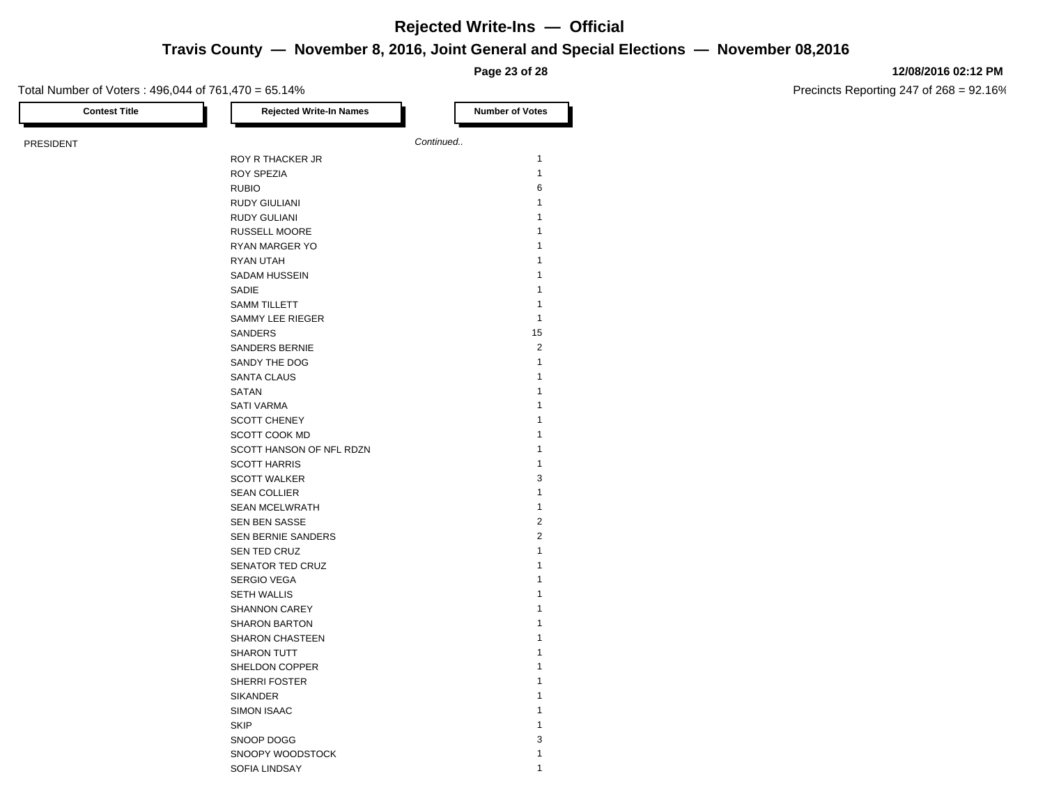**Travis County — November 8, 2016, Joint General and Special Elections — November 08,2016**

**Page 23 of 28**

### Total Number of Voters : 496,044 of 761,470 = 65.14%

**12/08/2016 02:12 PM**

| <b>Contest Title</b> | <b>Rejected Write-In Names</b>           | <b>Number of Votes</b>  |
|----------------------|------------------------------------------|-------------------------|
| PRESIDENT            |                                          | Continued               |
|                      | ROY R THACKER JR                         | $\mathbf{1}$            |
|                      | <b>ROY SPEZIA</b>                        | $\mathbf{1}$            |
|                      | <b>RUBIO</b>                             | 6                       |
|                      | <b>RUDY GIULIANI</b>                     | $\mathbf{1}$            |
|                      | <b>RUDY GULIANI</b>                      | $\mathbf{1}$            |
|                      | <b>RUSSELL MOORE</b>                     | 1                       |
|                      | RYAN MARGER YO                           | 1                       |
|                      | RYAN UTAH                                | $\mathbf{1}$            |
|                      | SADAM HUSSEIN                            | $\mathbf{1}$            |
|                      | SADIE                                    | 1                       |
|                      | <b>SAMM TILLETT</b>                      | $\mathbf{1}$            |
|                      | SAMMY LEE RIEGER                         | $\mathbf{1}$            |
|                      | SANDERS                                  | 15                      |
|                      | <b>SANDERS BERNIE</b>                    | $\overline{2}$          |
|                      | SANDY THE DOG                            | $\mathbf{1}$            |
|                      | <b>SANTA CLAUS</b>                       | $\mathbf{1}$            |
|                      | SATAN                                    | 1                       |
|                      |                                          | 1                       |
|                      | <b>SATI VARMA</b><br><b>SCOTT CHENEY</b> | 1                       |
|                      | SCOTT COOK MD                            | 1                       |
|                      |                                          | $\mathbf{1}$            |
|                      | SCOTT HANSON OF NFL RDZN                 | 1                       |
|                      | <b>SCOTT HARRIS</b>                      | 3                       |
|                      | <b>SCOTT WALKER</b>                      | $\mathbf{1}$            |
|                      | <b>SEAN COLLIER</b>                      |                         |
|                      | <b>SEAN MCELWRATH</b>                    | $\mathbf{1}$            |
|                      | SEN BEN SASSE                            | $\overline{\mathbf{c}}$ |
|                      | <b>SEN BERNIE SANDERS</b>                | $\overline{2}$          |
|                      | SEN TED CRUZ                             | $\mathbf{1}$            |
|                      | SENATOR TED CRUZ                         | $\mathbf{1}$            |
|                      | <b>SERGIO VEGA</b>                       | $\mathbf{1}$            |
|                      | <b>SETH WALLIS</b>                       | 1<br>$\mathbf{1}$       |
|                      | <b>SHANNON CAREY</b>                     |                         |
|                      | <b>SHARON BARTON</b>                     | $\mathbf{1}$            |
|                      | <b>SHARON CHASTEEN</b>                   | 1                       |
|                      | <b>SHARON TUTT</b>                       | $\mathbf{1}$            |
|                      | SHELDON COPPER                           | 1                       |
|                      | SHERRI FOSTER                            | $\mathbf{1}$            |
|                      | <b>SIKANDER</b>                          | 1                       |
|                      | <b>SIMON ISAAC</b>                       | 1                       |
|                      | <b>SKIP</b>                              | $\mathbf{1}$            |
|                      | SNOOP DOGG                               | 3                       |
|                      | SNOOPY WOODSTOCK                         | $\mathbf{1}$            |
|                      | SOFIA LINDSAY                            | $\mathbf{1}$            |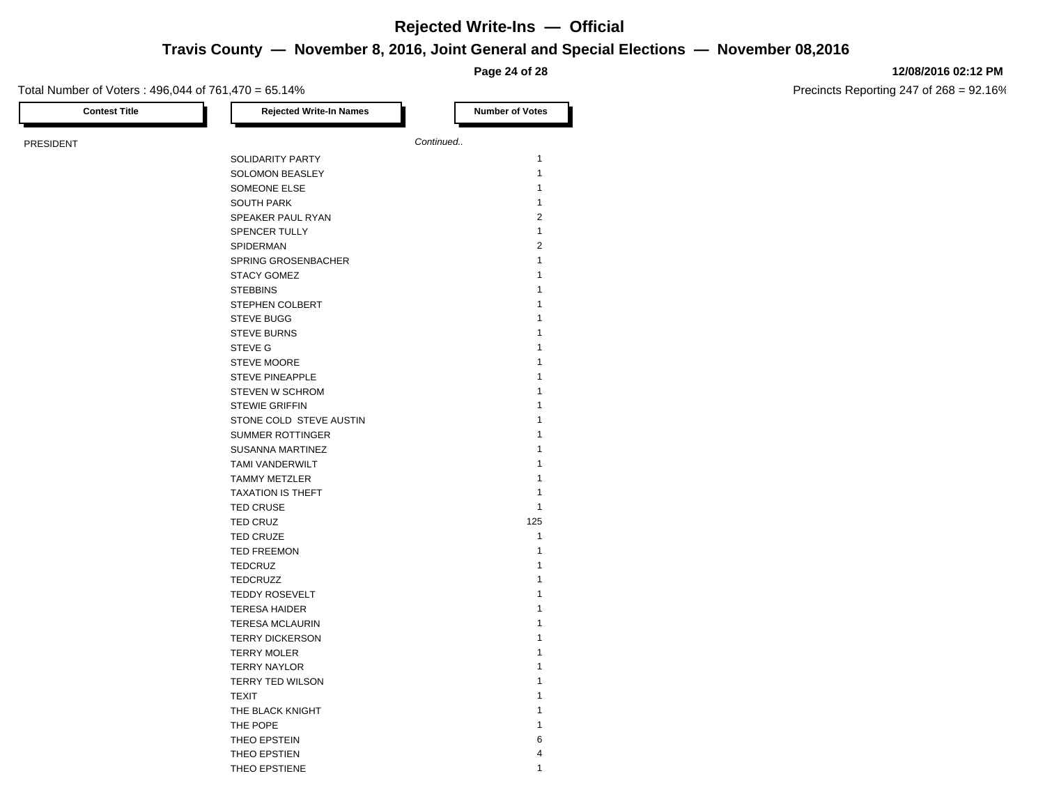## **Travis County — November 8, 2016, Joint General and Special Elections — November 08,2016**

**Page 24 of 28**

### **12/08/2016 02:12 PM**

Precincts Reporting 247 of 268 = 92.16%

| <b>Contest Title</b> | <b>Rejected Write-In Names</b> | <b>Number of Votes</b> |
|----------------------|--------------------------------|------------------------|
| <b>PRESIDENT</b>     |                                | Continued              |
|                      | SOLIDARITY PARTY               | $\mathbf{1}$           |
|                      | SOLOMON BEASLEY                | $\mathbf{1}$           |
|                      | SOMEONE ELSE                   | $\mathbf{1}$           |
|                      | <b>SOUTH PARK</b>              | $\mathbf{1}$           |
|                      | SPEAKER PAUL RYAN              | $\overline{2}$         |
|                      | <b>SPENCER TULLY</b>           | $\mathbf{1}$           |
|                      | SPIDERMAN                      | $\overline{2}$         |
|                      |                                | 1                      |
|                      | <b>SPRING GROSENBACHER</b>     | 1                      |
|                      | <b>STACY GOMEZ</b>             |                        |
|                      | <b>STEBBINS</b>                | 1                      |
|                      | STEPHEN COLBERT                | 1                      |
|                      | <b>STEVE BUGG</b>              | 1                      |
|                      | <b>STEVE BURNS</b>             | 1                      |
|                      | <b>STEVE G</b>                 | 1                      |
|                      | STEVE MOORE                    | 1                      |
|                      | <b>STEVE PINEAPPLE</b>         | 1                      |
|                      | <b>STEVEN W SCHROM</b>         | 1                      |
|                      | <b>STEWIE GRIFFIN</b>          | 1                      |
|                      | STONE COLD STEVE AUSTIN        | 1                      |
|                      | <b>SUMMER ROTTINGER</b>        | 1                      |
|                      | <b>SUSANNA MARTINEZ</b>        | 1                      |
|                      | <b>TAMI VANDERWILT</b>         | 1                      |
|                      | <b>TAMMY METZLER</b>           | 1                      |
|                      | <b>TAXATION IS THEFT</b>       | 1                      |
|                      | <b>TED CRUSE</b>               | 1                      |
|                      | <b>TED CRUZ</b>                | 125                    |
|                      | <b>TED CRUZE</b>               | $\mathbf{1}$           |
|                      | <b>TED FREEMON</b>             | 1                      |
|                      | <b>TEDCRUZ</b>                 | 1                      |
|                      | <b>TEDCRUZZ</b>                | 1                      |
|                      | <b>TEDDY ROSEVELT</b>          | 1                      |
|                      | <b>TERESA HAIDER</b>           | 1                      |
|                      | <b>TERESA MCLAURIN</b>         | 1                      |
|                      | <b>TERRY DICKERSON</b>         | 1                      |
|                      | <b>TERRY MOLER</b>             | 1                      |
|                      | <b>TERRY NAYLOR</b>            | 1                      |
|                      | TERRY TED WILSON               | 1                      |
|                      | <b>TEXIT</b>                   | 1                      |
|                      | THE BLACK KNIGHT               | 1                      |
|                      | THE POPE                       | 1                      |
|                      | THEO EPSTEIN                   | 6                      |
|                      | THEO EPSTIEN                   | $\overline{4}$         |
|                      |                                |                        |

THEO EPSTIENE 1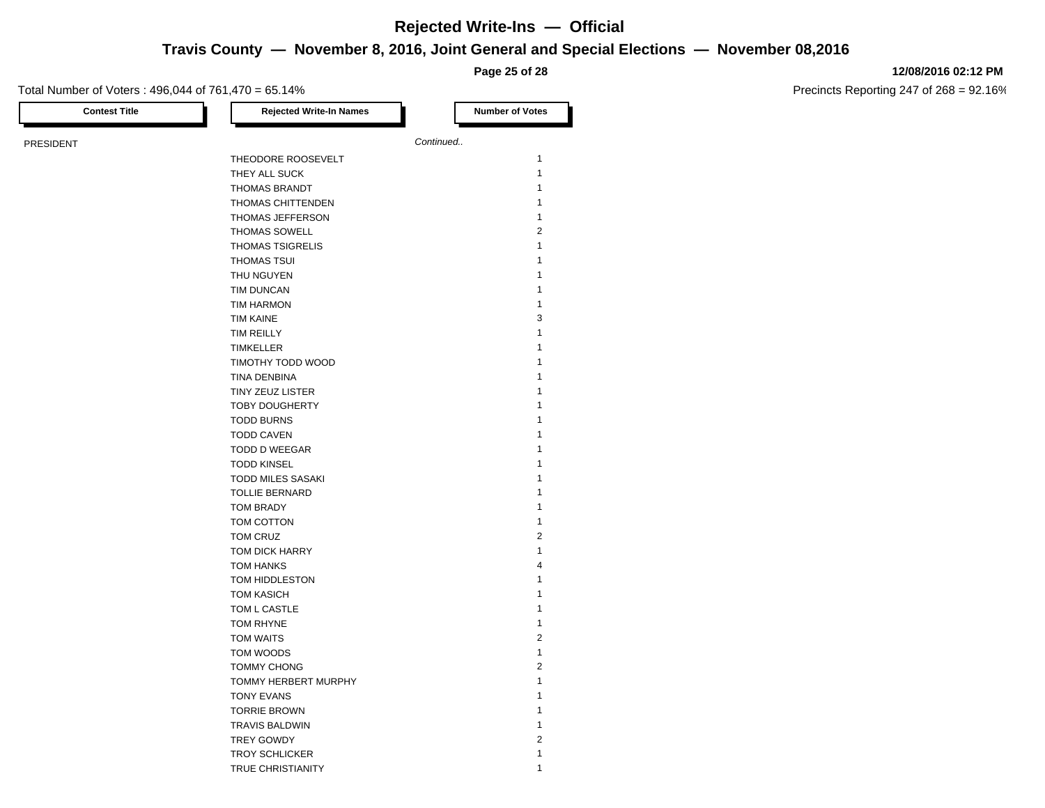**Travis County — November 8, 2016, Joint General and Special Elections — November 08,2016**

**Page 25 of 28**

### **12/08/2016 02:12 PM**

| Continued<br>THEODORE ROOSEVELT<br>THEY ALL SUCK<br>THOMAS BRANDT<br>THOMAS CHITTENDEN<br>THOMAS JEFFERSON<br><b>THOMAS SOWELL</b><br>THOMAS TSIGRELIS<br><b>THOMAS TSUI</b><br>THU NGUYEN<br>TIM DUNCAN<br><b>TIM HARMON</b><br><b>TIM KAINE</b><br>TIM REILLY<br><b>TIMKELLER</b><br>TIMOTHY TODD WOOD<br>TINA DENBINA<br>TINY ZEUZ LISTER<br><b>TOBY DOUGHERTY</b><br><b>TODD BURNS</b><br><b>TODD CAVEN</b><br>TODD D WEEGAR<br><b>TODD KINSEL</b><br>TODD MILES SASAKI<br><b>TOLLIE BERNARD</b><br><b>TOM BRADY</b><br>TOM COTTON<br>TOM CRUZ<br>TOM DICK HARRY<br><b>TOM HANKS</b><br>TOM HIDDLESTON<br><b>TOM KASICH</b><br>TOM L CASTLE<br>TOM RHYNE<br>TOM WAITS<br>TOM WOODS<br><b>TOMMY CHONG</b><br>TOMMY HERBERT MURPHY<br><b>TONY EVANS</b><br><b>TORRIE BROWN</b><br><b>TRAVIS BALDWIN</b><br><b>TREY GOWDY</b><br><b>TROY SCHLICKER</b> | <b>Contest Title</b> | <b>Rejected Write-In Names</b> | <b>Number of Votes</b> |
|---------------------------------------------------------------------------------------------------------------------------------------------------------------------------------------------------------------------------------------------------------------------------------------------------------------------------------------------------------------------------------------------------------------------------------------------------------------------------------------------------------------------------------------------------------------------------------------------------------------------------------------------------------------------------------------------------------------------------------------------------------------------------------------------------------------------------------------------------------|----------------------|--------------------------------|------------------------|
|                                                                                                                                                                                                                                                                                                                                                                                                                                                                                                                                                                                                                                                                                                                                                                                                                                                         | <b>PRESIDENT</b>     |                                |                        |
|                                                                                                                                                                                                                                                                                                                                                                                                                                                                                                                                                                                                                                                                                                                                                                                                                                                         |                      |                                | 1                      |
|                                                                                                                                                                                                                                                                                                                                                                                                                                                                                                                                                                                                                                                                                                                                                                                                                                                         |                      |                                | $\mathbf{1}$           |
|                                                                                                                                                                                                                                                                                                                                                                                                                                                                                                                                                                                                                                                                                                                                                                                                                                                         |                      |                                | 1                      |
|                                                                                                                                                                                                                                                                                                                                                                                                                                                                                                                                                                                                                                                                                                                                                                                                                                                         |                      |                                | $\mathbf{1}$           |
|                                                                                                                                                                                                                                                                                                                                                                                                                                                                                                                                                                                                                                                                                                                                                                                                                                                         |                      |                                | $\mathbf{1}$           |
|                                                                                                                                                                                                                                                                                                                                                                                                                                                                                                                                                                                                                                                                                                                                                                                                                                                         |                      |                                | $\overline{2}$         |
|                                                                                                                                                                                                                                                                                                                                                                                                                                                                                                                                                                                                                                                                                                                                                                                                                                                         |                      |                                | $\mathbf{1}$           |
|                                                                                                                                                                                                                                                                                                                                                                                                                                                                                                                                                                                                                                                                                                                                                                                                                                                         |                      |                                | 1                      |
|                                                                                                                                                                                                                                                                                                                                                                                                                                                                                                                                                                                                                                                                                                                                                                                                                                                         |                      |                                | 1                      |
|                                                                                                                                                                                                                                                                                                                                                                                                                                                                                                                                                                                                                                                                                                                                                                                                                                                         |                      |                                | 1                      |
|                                                                                                                                                                                                                                                                                                                                                                                                                                                                                                                                                                                                                                                                                                                                                                                                                                                         |                      |                                | 1                      |
|                                                                                                                                                                                                                                                                                                                                                                                                                                                                                                                                                                                                                                                                                                                                                                                                                                                         |                      |                                | 3                      |
|                                                                                                                                                                                                                                                                                                                                                                                                                                                                                                                                                                                                                                                                                                                                                                                                                                                         |                      |                                | 1                      |
|                                                                                                                                                                                                                                                                                                                                                                                                                                                                                                                                                                                                                                                                                                                                                                                                                                                         |                      |                                |                        |
|                                                                                                                                                                                                                                                                                                                                                                                                                                                                                                                                                                                                                                                                                                                                                                                                                                                         |                      |                                | 1                      |
|                                                                                                                                                                                                                                                                                                                                                                                                                                                                                                                                                                                                                                                                                                                                                                                                                                                         |                      |                                | 1                      |
|                                                                                                                                                                                                                                                                                                                                                                                                                                                                                                                                                                                                                                                                                                                                                                                                                                                         |                      |                                | 1                      |
|                                                                                                                                                                                                                                                                                                                                                                                                                                                                                                                                                                                                                                                                                                                                                                                                                                                         |                      |                                | 1                      |
|                                                                                                                                                                                                                                                                                                                                                                                                                                                                                                                                                                                                                                                                                                                                                                                                                                                         |                      |                                | 1                      |
|                                                                                                                                                                                                                                                                                                                                                                                                                                                                                                                                                                                                                                                                                                                                                                                                                                                         |                      |                                | 1                      |
|                                                                                                                                                                                                                                                                                                                                                                                                                                                                                                                                                                                                                                                                                                                                                                                                                                                         |                      |                                | 1                      |
|                                                                                                                                                                                                                                                                                                                                                                                                                                                                                                                                                                                                                                                                                                                                                                                                                                                         |                      |                                | 1                      |
|                                                                                                                                                                                                                                                                                                                                                                                                                                                                                                                                                                                                                                                                                                                                                                                                                                                         |                      |                                | 1                      |
|                                                                                                                                                                                                                                                                                                                                                                                                                                                                                                                                                                                                                                                                                                                                                                                                                                                         |                      |                                | 1                      |
|                                                                                                                                                                                                                                                                                                                                                                                                                                                                                                                                                                                                                                                                                                                                                                                                                                                         |                      |                                | 1                      |
|                                                                                                                                                                                                                                                                                                                                                                                                                                                                                                                                                                                                                                                                                                                                                                                                                                                         |                      |                                | 1                      |
|                                                                                                                                                                                                                                                                                                                                                                                                                                                                                                                                                                                                                                                                                                                                                                                                                                                         |                      |                                | 1                      |
|                                                                                                                                                                                                                                                                                                                                                                                                                                                                                                                                                                                                                                                                                                                                                                                                                                                         |                      |                                | 2                      |
|                                                                                                                                                                                                                                                                                                                                                                                                                                                                                                                                                                                                                                                                                                                                                                                                                                                         |                      |                                | $\mathbf{1}$           |
|                                                                                                                                                                                                                                                                                                                                                                                                                                                                                                                                                                                                                                                                                                                                                                                                                                                         |                      |                                | 4                      |
|                                                                                                                                                                                                                                                                                                                                                                                                                                                                                                                                                                                                                                                                                                                                                                                                                                                         |                      |                                | 1                      |
|                                                                                                                                                                                                                                                                                                                                                                                                                                                                                                                                                                                                                                                                                                                                                                                                                                                         |                      |                                | 1                      |
|                                                                                                                                                                                                                                                                                                                                                                                                                                                                                                                                                                                                                                                                                                                                                                                                                                                         |                      |                                | $\mathbf{1}$           |
|                                                                                                                                                                                                                                                                                                                                                                                                                                                                                                                                                                                                                                                                                                                                                                                                                                                         |                      |                                | 1                      |
|                                                                                                                                                                                                                                                                                                                                                                                                                                                                                                                                                                                                                                                                                                                                                                                                                                                         |                      |                                | $\overline{2}$         |
|                                                                                                                                                                                                                                                                                                                                                                                                                                                                                                                                                                                                                                                                                                                                                                                                                                                         |                      |                                | $\mathbf{1}$           |
|                                                                                                                                                                                                                                                                                                                                                                                                                                                                                                                                                                                                                                                                                                                                                                                                                                                         |                      |                                | $\sqrt{2}$             |
|                                                                                                                                                                                                                                                                                                                                                                                                                                                                                                                                                                                                                                                                                                                                                                                                                                                         |                      |                                | 1                      |
|                                                                                                                                                                                                                                                                                                                                                                                                                                                                                                                                                                                                                                                                                                                                                                                                                                                         |                      |                                | 1                      |
|                                                                                                                                                                                                                                                                                                                                                                                                                                                                                                                                                                                                                                                                                                                                                                                                                                                         |                      |                                | 1                      |
|                                                                                                                                                                                                                                                                                                                                                                                                                                                                                                                                                                                                                                                                                                                                                                                                                                                         |                      |                                | 1                      |
|                                                                                                                                                                                                                                                                                                                                                                                                                                                                                                                                                                                                                                                                                                                                                                                                                                                         |                      |                                | $\overline{2}$         |
|                                                                                                                                                                                                                                                                                                                                                                                                                                                                                                                                                                                                                                                                                                                                                                                                                                                         |                      |                                | 1                      |
|                                                                                                                                                                                                                                                                                                                                                                                                                                                                                                                                                                                                                                                                                                                                                                                                                                                         |                      | TRUE CHRISTIANITY              | 1                      |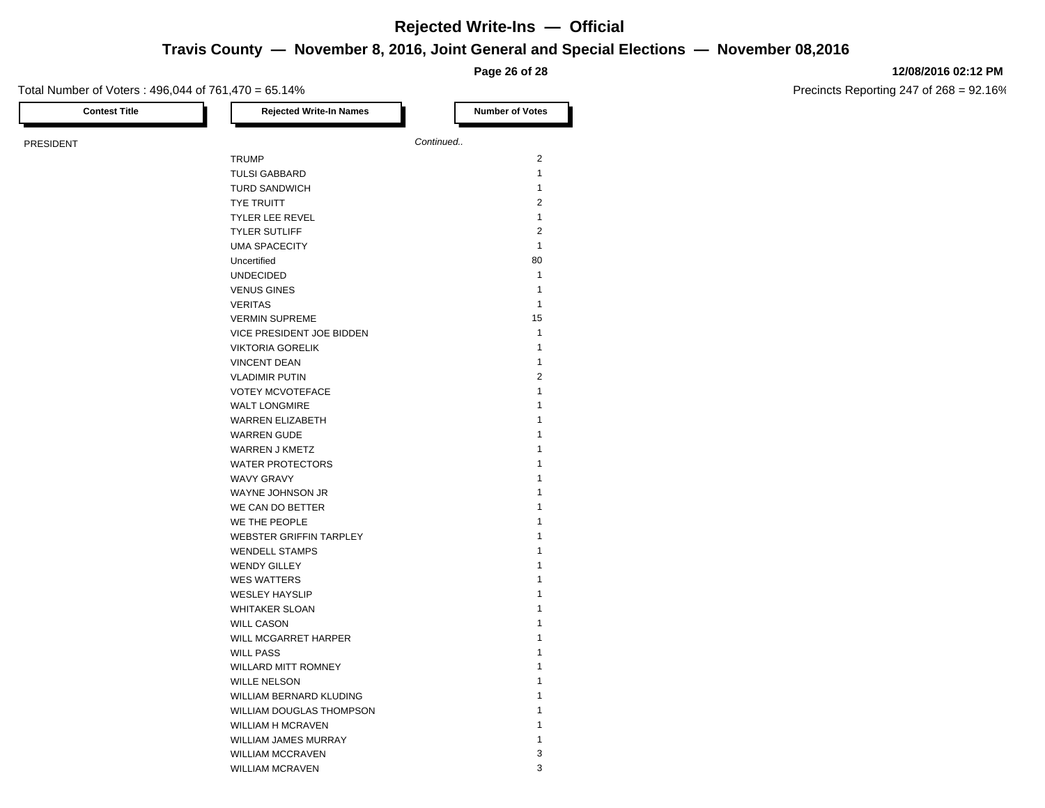## **Travis County — November 8, 2016, Joint General and Special Elections — November 08,2016**

**Page 26 of 28**

### Total Number of Voters : 496,044 of 761,470 = 65.14%

**12/08/2016 02:12 PM**

| <b>Contest Title</b> | <b>Rejected Write-In Names</b> | <b>Number of Votes</b>  |
|----------------------|--------------------------------|-------------------------|
| PRESIDENT            |                                | Continued               |
|                      | <b>TRUMP</b>                   | 2                       |
|                      | <b>TULSI GABBARD</b>           | $\mathbf{1}$            |
|                      | <b>TURD SANDWICH</b>           | $\mathbf{1}$            |
|                      | <b>TYE TRUITT</b>              | $\mathbf{2}$            |
|                      | <b>TYLER LEE REVEL</b>         | $\mathbf{1}$            |
|                      | <b>TYLER SUTLIFF</b>           | $\overline{\mathbf{c}}$ |
|                      | <b>UMA SPACECITY</b>           | $\mathbf{1}$            |
|                      | Uncertified                    | 80                      |
|                      | <b>UNDECIDED</b>               | $\mathbf{1}$            |
|                      | <b>VENUS GINES</b>             | $\mathbf{1}$            |
|                      | <b>VERITAS</b>                 | $\mathbf{1}$            |
|                      | <b>VERMIN SUPREME</b>          | 15                      |
|                      | VICE PRESIDENT JOE BIDDEN      | $\mathbf{1}$            |
|                      | <b>VIKTORIA GORELIK</b>        | $\mathbf{1}$            |
|                      | <b>VINCENT DEAN</b>            | $\mathbf{1}$            |
|                      | <b>VLADIMIR PUTIN</b>          | $\overline{2}$          |
|                      | <b>VOTEY MCVOTEFACE</b>        | $\mathbf{1}$            |
|                      | <b>WALT LONGMIRE</b>           | $\mathbf{1}$            |
|                      | <b>WARREN ELIZABETH</b>        | $\mathbf{1}$            |
|                      | <b>WARREN GUDE</b>             | $\mathbf{1}$            |
|                      | WARREN J KMETZ                 | $\mathbf{1}$            |
|                      | <b>WATER PROTECTORS</b>        | $\mathbf{1}$            |
|                      | WAVY GRAVY                     | $\mathbf{1}$            |
|                      | WAYNE JOHNSON JR               | $\mathbf{1}$            |
|                      | WE CAN DO BETTER               | $\mathbf{1}$            |
|                      | WE THE PEOPLE                  | $\mathbf{1}$            |
|                      | WEBSTER GRIFFIN TARPLEY        | $\mathbf{1}$            |
|                      | <b>WENDELL STAMPS</b>          | $\mathbf{1}$            |
|                      | <b>WENDY GILLEY</b>            | $\mathbf{1}$            |
|                      | <b>WES WATTERS</b>             | $\mathbf{1}$            |
|                      | <b>WESLEY HAYSLIP</b>          | $\mathbf{1}$            |
|                      | <b>WHITAKER SLOAN</b>          | $\mathbf{1}$            |
|                      | <b>WILL CASON</b>              | $\mathbf{1}$            |
|                      | WILL MCGARRET HARPER           | $\mathbf{1}$            |
|                      | <b>WILL PASS</b>               | $\mathbf{1}$            |
|                      | <b>WILLARD MITT ROMNEY</b>     | $\mathbf{1}$            |
|                      | <b>WILLE NELSON</b>            | $\mathbf{1}$            |
|                      | WILLIAM BERNARD KLUDING        | $\mathbf{1}$            |
|                      | WILLIAM DOUGLAS THOMPSON       | $\mathbf{1}$            |
|                      | <b>WILLIAM H MCRAVEN</b>       | $\mathbf{1}$            |
|                      | WILLIAM JAMES MURRAY           | $\mathbf{1}$            |
|                      | <b>WILLIAM MCCRAVEN</b>        | 3                       |
|                      | <b>WILLIAM MCRAVEN</b>         | 3                       |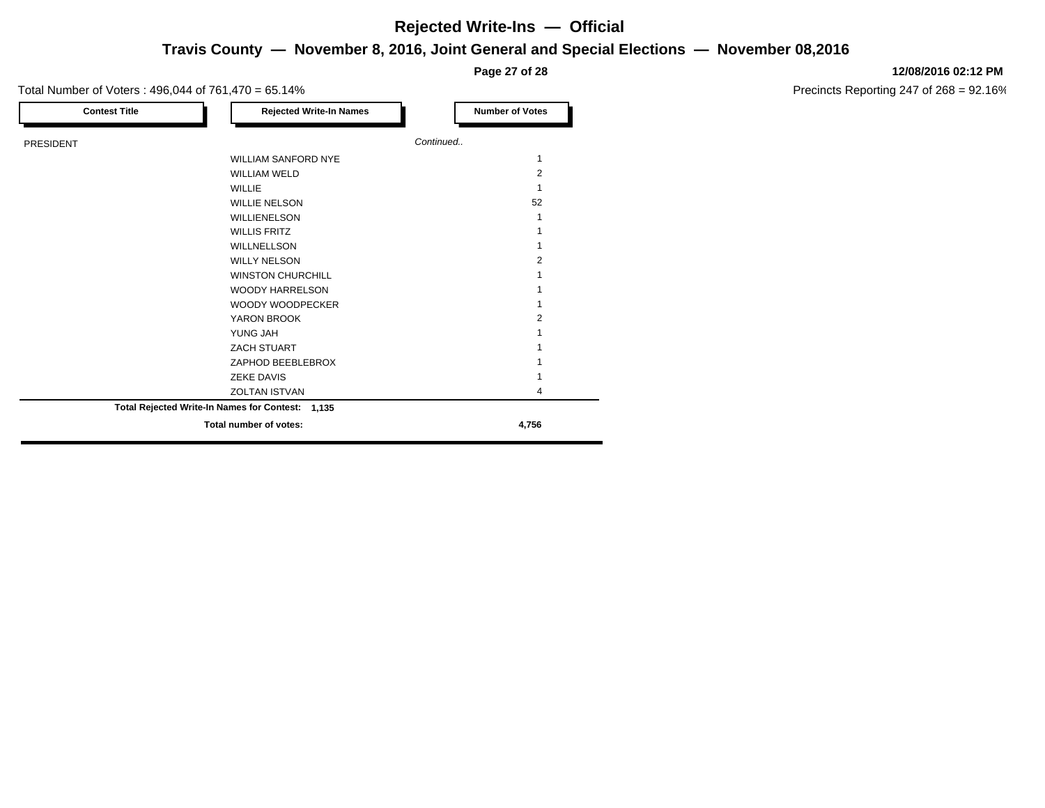## **Travis County — November 8, 2016, Joint General and Special Elections — November 08,2016 Rejected Write-Ins — Official**

**Page 27 of 28**

### Total Number of Voters : 496,044 of 761,470 = 65.14%

| <b>Contest Title</b> | <b>Rejected Write-In Names</b>                   | <b>Number of Votes</b> |
|----------------------|--------------------------------------------------|------------------------|
| <b>PRESIDENT</b>     |                                                  | Continued              |
|                      | <b>WILLIAM SANFORD NYE</b>                       | 1                      |
|                      | <b>WILLIAM WELD</b>                              | $\overline{2}$         |
|                      | <b>WILLIE</b>                                    |                        |
|                      | <b>WILLIE NELSON</b>                             | 52                     |
|                      | WILLIENELSON                                     |                        |
|                      | <b>WILLIS FRITZ</b>                              |                        |
|                      | WILLNELLSON                                      |                        |
|                      | <b>WILLY NELSON</b>                              | 2                      |
|                      | <b>WINSTON CHURCHILL</b>                         |                        |
|                      | <b>WOODY HARRELSON</b>                           |                        |
|                      | WOODY WOODPECKER                                 |                        |
|                      | YARON BROOK                                      | 2                      |
|                      | YUNG JAH                                         |                        |
|                      | ZACH STUART                                      |                        |
|                      | ZAPHOD BEEBLEBROX                                |                        |
|                      | <b>ZEKE DAVIS</b>                                |                        |
|                      | <b>ZOLTAN ISTVAN</b>                             | 4                      |
|                      | Total Rejected Write-In Names for Contest: 1,135 |                        |
|                      | Total number of votes:                           | 4,756                  |

#### **12/08/2016 02:12 PM**